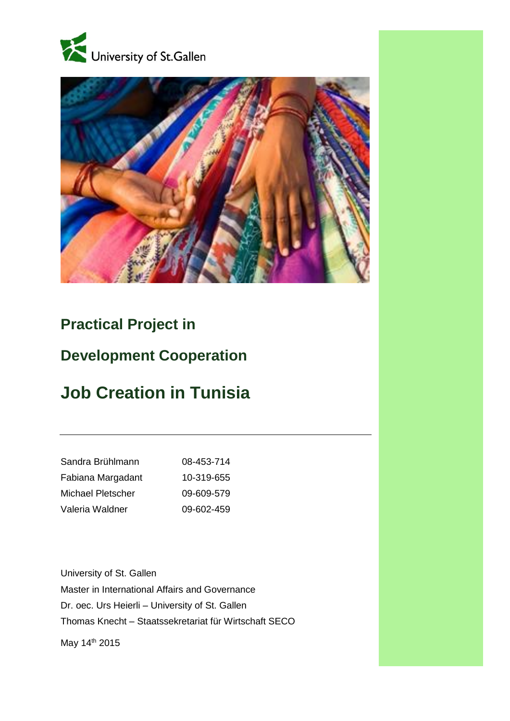



# **Practical Project in**

# **Development Cooperation**

# **Job Creation in Tunisia**

| Sandra Brühlmann  | 08-453-714 |
|-------------------|------------|
| Fabiana Margadant | 10-319-655 |
| Michael Pletscher | 09-609-579 |
| Valeria Waldner   | 09-602-459 |

University of St. Gallen Master in International Affairs and Governance Dr. oec. Urs Heierli – University of St. Gallen Thomas Knecht – [Staatssekretariat für Wirtschaft SECO](http://www.seco.admin.ch/) May 14<sup>th</sup> 2015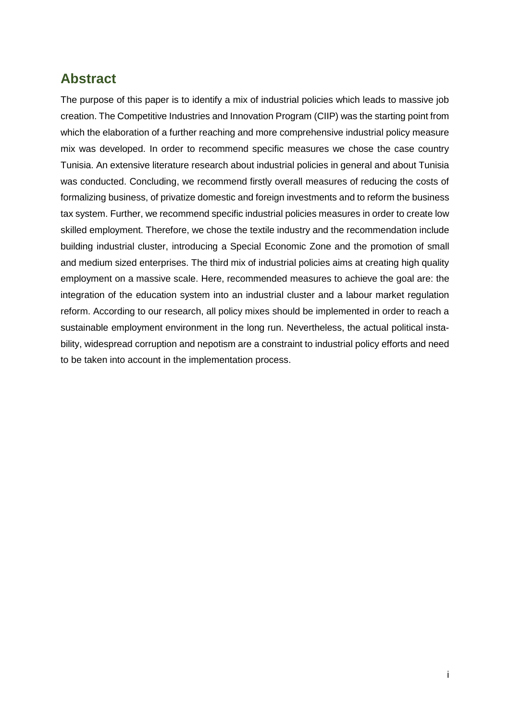# <span id="page-1-0"></span>**Abstract**

The purpose of this paper is to identify a mix of industrial policies which leads to massive job creation. The Competitive Industries and Innovation Program (CIIP) was the starting point from which the elaboration of a further reaching and more comprehensive industrial policy measure mix was developed. In order to recommend specific measures we chose the case country Tunisia. An extensive literature research about industrial policies in general and about Tunisia was conducted. Concluding, we recommend firstly overall measures of reducing the costs of formalizing business, of privatize domestic and foreign investments and to reform the business tax system. Further, we recommend specific industrial policies measures in order to create low skilled employment. Therefore, we chose the textile industry and the recommendation include building industrial cluster, introducing a Special Economic Zone and the promotion of small and medium sized enterprises. The third mix of industrial policies aims at creating high quality employment on a massive scale. Here, recommended measures to achieve the goal are: the integration of the education system into an industrial cluster and a labour market regulation reform. According to our research, all policy mixes should be implemented in order to reach a sustainable employment environment in the long run. Nevertheless, the actual political instability, widespread corruption and nepotism are a constraint to industrial policy efforts and need to be taken into account in the implementation process.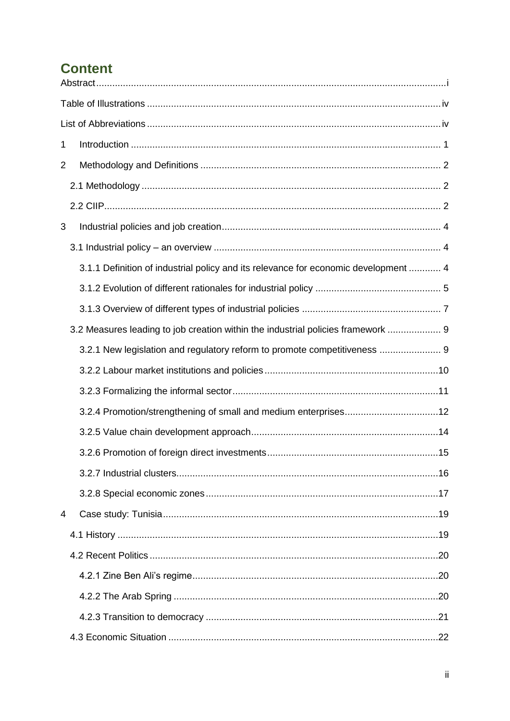# **Content**

| 1              |                                                                                     |
|----------------|-------------------------------------------------------------------------------------|
| $\overline{2}$ |                                                                                     |
|                |                                                                                     |
|                |                                                                                     |
| 3              |                                                                                     |
|                |                                                                                     |
|                | 3.1.1 Definition of industrial policy and its relevance for economic development  4 |
|                |                                                                                     |
|                |                                                                                     |
|                | 3.2 Measures leading to job creation within the industrial policies framework  9    |
|                | 3.2.1 New legislation and regulatory reform to promote competitiveness  9           |
|                |                                                                                     |
|                |                                                                                     |
|                |                                                                                     |
|                |                                                                                     |
|                |                                                                                     |
|                |                                                                                     |
|                |                                                                                     |
| $\overline{4}$ |                                                                                     |
|                |                                                                                     |
|                |                                                                                     |
|                |                                                                                     |
|                |                                                                                     |
|                |                                                                                     |
|                |                                                                                     |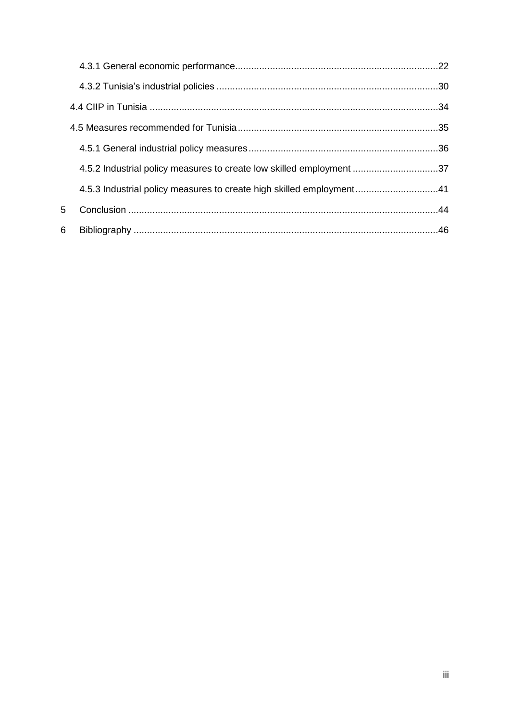|   | 4.5.2 Industrial policy measures to create low skilled employment 37  |  |
|---|-----------------------------------------------------------------------|--|
|   | 41.5.3 Industrial policy measures to create high skilled employment41 |  |
| 5 |                                                                       |  |
| 6 |                                                                       |  |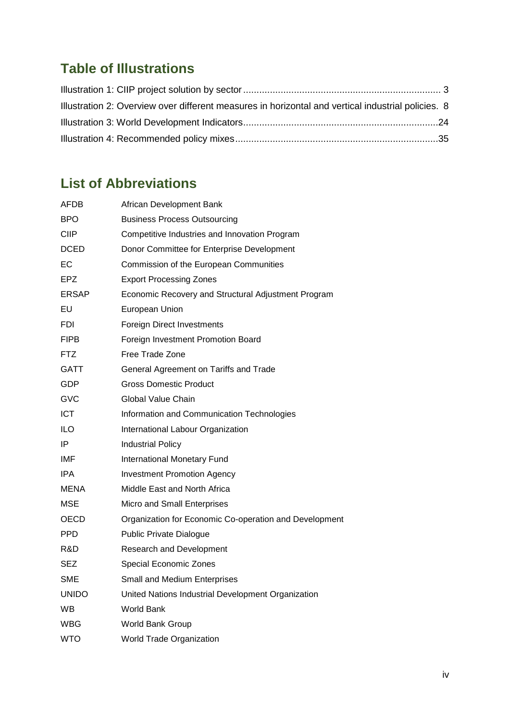# <span id="page-4-0"></span>**Table of Illustrations**

| Illustration 2: Overview over different measures in horizontal and vertical industrial policies. 8 |  |
|----------------------------------------------------------------------------------------------------|--|
|                                                                                                    |  |
|                                                                                                    |  |

# <span id="page-4-1"></span>**List of Abbreviations**

| AFDB         | African Development Bank                               |
|--------------|--------------------------------------------------------|
| <b>BPO</b>   | <b>Business Process Outsourcing</b>                    |
| CIIP         | Competitive Industries and Innovation Program          |
| DCED         | Donor Committee for Enterprise Development             |
| ЕC           | Commission of the European Communities                 |
| EPZ          | <b>Export Processing Zones</b>                         |
| ERSAP        | Economic Recovery and Structural Adjustment Program    |
| EU           | European Union                                         |
| FDI          | <b>Foreign Direct Investments</b>                      |
| FIPB         | Foreign Investment Promotion Board                     |
| FTZ          | Free Trade Zone                                        |
| GATT         | General Agreement on Tariffs and Trade                 |
| GDP          | <b>Gross Domestic Product</b>                          |
| GVC          | Global Value Chain                                     |
| <b>ICT</b>   | Information and Communication Technologies             |
| ILO          | International Labour Organization                      |
| IP           | <b>Industrial Policy</b>                               |
| IMF          | International Monetary Fund                            |
| <b>IPA</b>   | <b>Investment Promotion Agency</b>                     |
| MENA         | Middle East and North Africa                           |
| MSE          | Micro and Small Enterprises                            |
| OECD         | Organization for Economic Co-operation and Development |
| PPD          | <b>Public Private Dialogue</b>                         |
| R&D          | Research and Development                               |
| SEZ          | Special Economic Zones                                 |
| <b>SME</b>   | <b>Small and Medium Enterprises</b>                    |
| <b>UNIDO</b> | United Nations Industrial Development Organization     |
| <b>WB</b>    | World Bank                                             |
| WBG          | World Bank Group                                       |
| WTO          | <b>World Trade Organization</b>                        |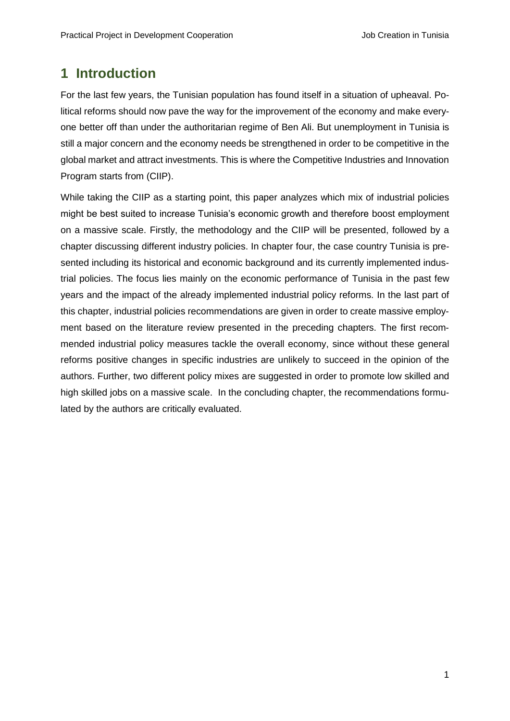# <span id="page-5-0"></span>**1 Introduction**

For the last few years, the Tunisian population has found itself in a situation of upheaval. Political reforms should now pave the way for the improvement of the economy and make everyone better off than under the authoritarian regime of Ben Ali. But unemployment in Tunisia is still a major concern and the economy needs be strengthened in order to be competitive in the global market and attract investments. This is where the Competitive Industries and Innovation Program starts from (CIIP).

While taking the CIIP as a starting point, this paper analyzes which mix of industrial policies might be best suited to increase Tunisia's economic growth and therefore boost employment on a massive scale. Firstly, the methodology and the CIIP will be presented, followed by a chapter discussing different industry policies. In chapter four, the case country Tunisia is presented including its historical and economic background and its currently implemented industrial policies. The focus lies mainly on the economic performance of Tunisia in the past few years and the impact of the already implemented industrial policy reforms. In the last part of this chapter, industrial policies recommendations are given in order to create massive employment based on the literature review presented in the preceding chapters. The first recommended industrial policy measures tackle the overall economy, since without these general reforms positive changes in specific industries are unlikely to succeed in the opinion of the authors. Further, two different policy mixes are suggested in order to promote low skilled and high skilled jobs on a massive scale. In the concluding chapter, the recommendations formulated by the authors are critically evaluated.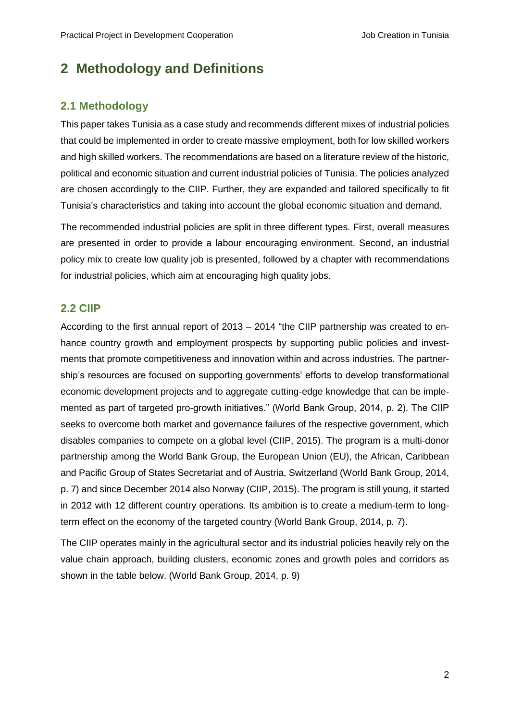# <span id="page-6-0"></span>**2 Methodology and Definitions**

# <span id="page-6-1"></span>**2.1 Methodology**

This paper takes Tunisia as a case study and recommends different mixes of industrial policies that could be implemented in order to create massive employment, both for low skilled workers and high skilled workers. The recommendations are based on a literature review of the historic, political and economic situation and current industrial policies of Tunisia. The policies analyzed are chosen accordingly to the CIIP. Further, they are expanded and tailored specifically to fit Tunisia's characteristics and taking into account the global economic situation and demand.

The recommended industrial policies are split in three different types. First, overall measures are presented in order to provide a labour encouraging environment. Second, an industrial policy mix to create low quality job is presented, followed by a chapter with recommendations for industrial policies, which aim at encouraging high quality jobs.

## <span id="page-6-2"></span>**2.2 CIIP**

According to the first annual report of 2013 – 2014 "the CIIP partnership was created to enhance country growth and employment prospects by supporting public policies and investments that promote competitiveness and innovation within and across industries. The partnership's resources are focused on supporting governments' efforts to develop transformational economic development projects and to aggregate cutting-edge knowledge that can be implemented as part of targeted pro-growth initiatives." (World Bank Group, 2014, p. 2). The CIIP seeks to overcome both market and governance failures of the respective government, which disables companies to compete on a global level (CIIP, 2015). The program is a multi-donor partnership among the World Bank Group, the European Union (EU), the African, Caribbean and Pacific Group of States Secretariat and of Austria, Switzerland (World Bank Group, 2014, p. 7) and since December 2014 also Norway (CIIP, 2015). The program is still young, it started in 2012 with 12 different country operations. Its ambition is to create a medium-term to longterm effect on the economy of the targeted country (World Bank Group, 2014, p. 7).

The CIIP operates mainly in the agricultural sector and its industrial policies heavily rely on the value chain approach, building clusters, economic zones and growth poles and corridors as shown in the table below. (World Bank Group, 2014, p. 9)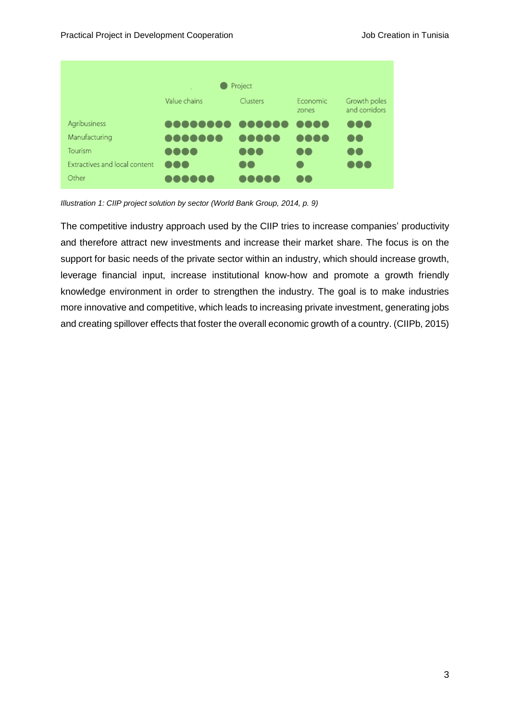| Project                       |                  |                |                     |                               |
|-------------------------------|------------------|----------------|---------------------|-------------------------------|
|                               | Value chains     | Clusters       | Economic<br>zones   | Growth poles<br>and corridors |
| Agribusiness                  | 000000000 000000 |                | $\Box$ i i<br>. .   | 000                           |
| Manufacturing                 | eo de de la      | <b>TIIL</b>    | 0<br>$\Box$ $\Box$  | $\blacksquare$                |
| Tourism                       | 0000             | $\blacksquare$ | $\bullet$ $\bullet$ | $\blacksquare$                |
| Extractives and local content | <b></b>          | $\blacksquare$ |                     | $\blacksquare$                |
| Other                         | $\mathbf{I}$     |                | $\mathbf{I}$        |                               |

<span id="page-7-0"></span>*Illustration 1: CIIP project solution by sector (World Bank Group, 2014, p. 9)*

The competitive industry approach used by the CIIP tries to increase companies' productivity and therefore attract new investments and increase their market share. The focus is on the support for basic needs of the private sector within an industry, which should increase growth, leverage financial input, increase institutional know-how and promote a growth friendly knowledge environment in order to strengthen the industry. The goal is to make industries more innovative and competitive, which leads to increasing private investment, generating jobs and creating spillover effects that foster the overall economic growth of a country. (CIIPb, 2015)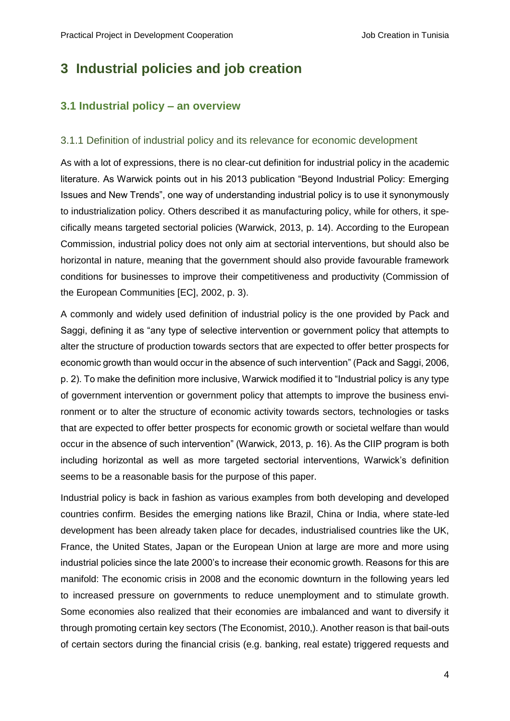# <span id="page-8-0"></span>**3 Industrial policies and job creation**

## <span id="page-8-1"></span>**3.1 Industrial policy – an overview**

#### <span id="page-8-2"></span>3.1.1 Definition of industrial policy and its relevance for economic development

As with a lot of expressions, there is no clear-cut definition for industrial policy in the academic literature. As Warwick points out in his 2013 publication "Beyond Industrial Policy: Emerging Issues and New Trends", one way of understanding industrial policy is to use it synonymously to industrialization policy. Others described it as manufacturing policy, while for others, it specifically means targeted sectorial policies (Warwick, 2013, p. 14). According to the European Commission, industrial policy does not only aim at sectorial interventions, but should also be horizontal in nature, meaning that the government should also provide favourable framework conditions for businesses to improve their competitiveness and productivity (Commission of the European Communities [EC], 2002, p. 3).

A commonly and widely used definition of industrial policy is the one provided by Pack and Saggi, defining it as "any type of selective intervention or government policy that attempts to alter the structure of production towards sectors that are expected to offer better prospects for economic growth than would occur in the absence of such intervention" (Pack and Saggi, 2006, p. 2). To make the definition more inclusive, Warwick modified it to "Industrial policy is any type of government intervention or government policy that attempts to improve the business environment or to alter the structure of economic activity towards sectors, technologies or tasks that are expected to offer better prospects for economic growth or societal welfare than would occur in the absence of such intervention" (Warwick, 2013, p. 16). As the CIIP program is both including horizontal as well as more targeted sectorial interventions, Warwick's definition seems to be a reasonable basis for the purpose of this paper.

Industrial policy is back in fashion as various examples from both developing and developed countries confirm. Besides the emerging nations like Brazil, China or India, where state-led development has been already taken place for decades, industrialised countries like the UK, France, the United States, Japan or the European Union at large are more and more using industrial policies since the late 2000's to increase their economic growth. Reasons for this are manifold: The economic crisis in 2008 and the economic downturn in the following years led to increased pressure on governments to reduce unemployment and to stimulate growth. Some economies also realized that their economies are imbalanced and want to diversify it through promoting certain key sectors (The Economist, 2010,). Another reason is that bail-outs of certain sectors during the financial crisis (e.g. banking, real estate) triggered requests and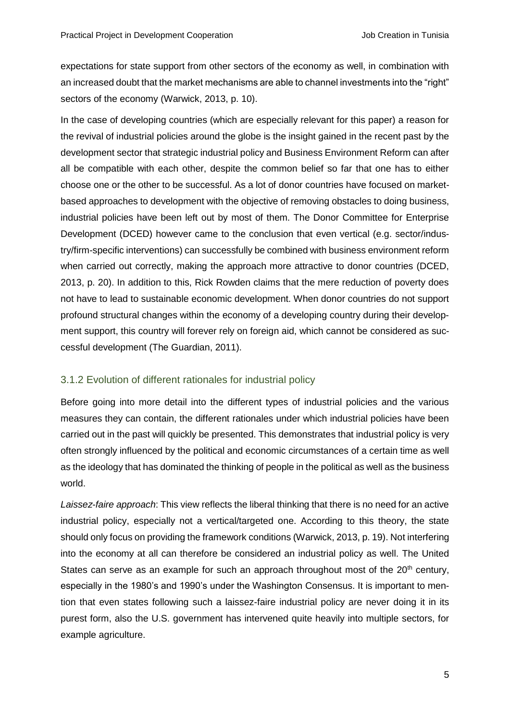expectations for state support from other sectors of the economy as well, in combination with an increased doubt that the market mechanisms are able to channel investments into the "right" sectors of the economy (Warwick, 2013, p. 10).

In the case of developing countries (which are especially relevant for this paper) a reason for the revival of industrial policies around the globe is the insight gained in the recent past by the development sector that strategic industrial policy and Business Environment Reform can after all be compatible with each other, despite the common belief so far that one has to either choose one or the other to be successful. As a lot of donor countries have focused on marketbased approaches to development with the objective of removing obstacles to doing business, industrial policies have been left out by most of them. The Donor Committee for Enterprise Development (DCED) however came to the conclusion that even vertical (e.g. sector/industry/firm-specific interventions) can successfully be combined with business environment reform when carried out correctly, making the approach more attractive to donor countries (DCED, 2013, p. 20). In addition to this, Rick Rowden claims that the mere reduction of poverty does not have to lead to sustainable economic development. When donor countries do not support profound structural changes within the economy of a developing country during their development support, this country will forever rely on foreign aid, which cannot be considered as successful development (The Guardian, 2011).

### <span id="page-9-0"></span>3.1.2 Evolution of different rationales for industrial policy

Before going into more detail into the different types of industrial policies and the various measures they can contain, the different rationales under which industrial policies have been carried out in the past will quickly be presented. This demonstrates that industrial policy is very often strongly influenced by the political and economic circumstances of a certain time as well as the ideology that has dominated the thinking of people in the political as well as the business world.

*Laissez-faire approach*: This view reflects the liberal thinking that there is no need for an active industrial policy, especially not a vertical/targeted one. According to this theory, the state should only focus on providing the framework conditions (Warwick, 2013, p. 19). Not interfering into the economy at all can therefore be considered an industrial policy as well. The United States can serve as an example for such an approach throughout most of the  $20<sup>th</sup>$  century, especially in the 1980's and 1990's under the Washington Consensus. It is important to mention that even states following such a laissez-faire industrial policy are never doing it in its purest form, also the U.S. government has intervened quite heavily into multiple sectors, for example agriculture.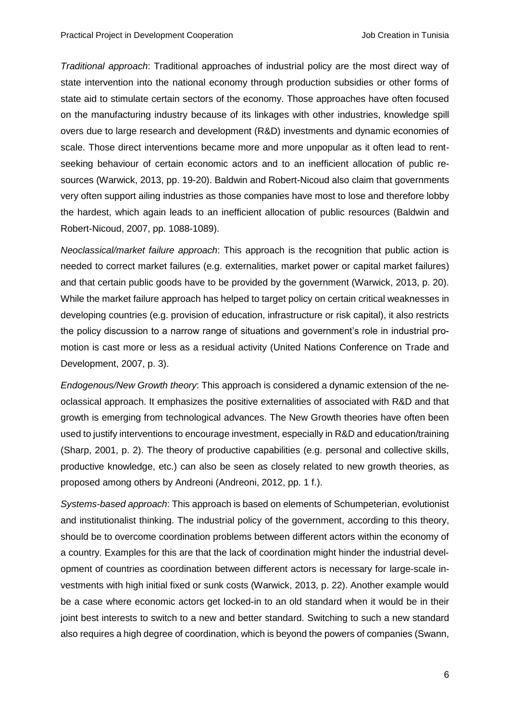*Traditional approach*: Traditional approaches of industrial policy are the most direct way of state intervention into the national economy through production subsidies or other forms of state aid to stimulate certain sectors of the economy. Those approaches have often focused on the manufacturing industry because of its linkages with other industries, knowledge spill overs due to large research and development (R&D) investments and dynamic economies of scale. Those direct interventions became more and more unpopular as it often lead to rentseeking behaviour of certain economic actors and to an inefficient allocation of public resources (Warwick, 2013, pp. 19-20). Baldwin and Robert-Nicoud also claim that governments very often support ailing industries as those companies have most to lose and therefore lobby the hardest, which again leads to an inefficient allocation of public resources (Baldwin and Robert-Nicoud, 2007, pp. 1088-1089).

*Neoclassical/market failure approach*: This approach is the recognition that public action is needed to correct market failures (e.g. externalities, market power or capital market failures) and that certain public goods have to be provided by the government (Warwick, 2013, p. 20). While the market failure approach has helped to target policy on certain critical weaknesses in developing countries (e.g. provision of education, infrastructure or risk capital), it also restricts the policy discussion to a narrow range of situations and government's role in industrial promotion is cast more or less as a residual activity (United Nations Conference on Trade and Development, 2007, p. 3).

*Endogenous/New Growth theory*: This approach is considered a dynamic extension of the neoclassical approach. It emphasizes the positive externalities of associated with R&D and that growth is emerging from technological advances. The New Growth theories have often been used to justify interventions to encourage investment, especially in R&D and education/training (Sharp, 2001, p. 2). The theory of productive capabilities (e.g. personal and collective skills, productive knowledge, etc.) can also be seen as closely related to new growth theories, as proposed among others by Andreoni (Andreoni, 2012, pp. 1 f.).

*Systems-based approach*: This approach is based on elements of Schumpeterian, evolutionist and institutionalist thinking. The industrial policy of the government, according to this theory, should be to overcome coordination problems between different actors within the economy of a country. Examples for this are that the lack of coordination might hinder the industrial development of countries as coordination between different actors is necessary for large-scale investments with high initial fixed or sunk costs (Warwick, 2013, p. 22). Another example would be a case where economic actors get locked-in to an old standard when it would be in their joint best interests to switch to a new and better standard. Switching to such a new standard also requires a high degree of coordination, which is beyond the powers of companies (Swann,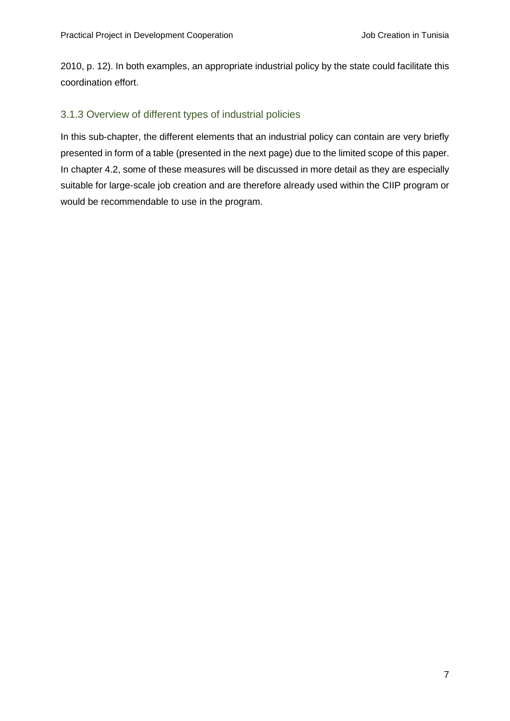2010, p. 12). In both examples, an appropriate industrial policy by the state could facilitate this coordination effort.

## <span id="page-11-0"></span>3.1.3 Overview of different types of industrial policies

In this sub-chapter, the different elements that an industrial policy can contain are very briefly presented in form of a table (presented in the next page) due to the limited scope of this paper. In chapter 4.2, some of these measures will be discussed in more detail as they are especially suitable for large-scale job creation and are therefore already used within the CIIP program or would be recommendable to use in the program.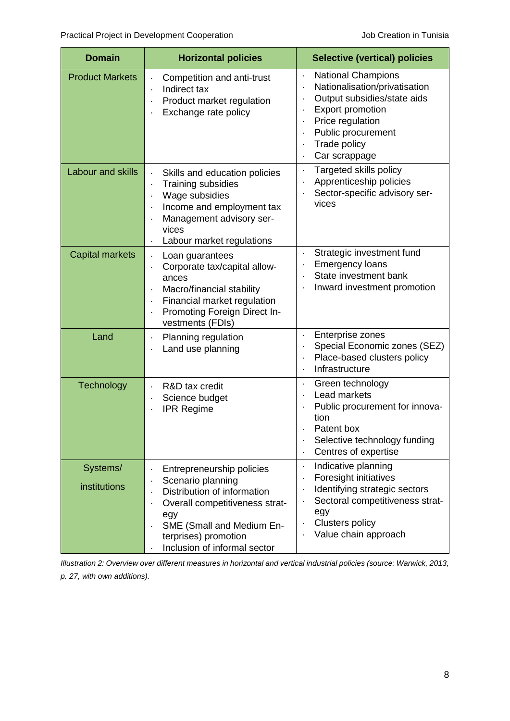| <b>Domain</b>                   | <b>Horizontal policies</b>                                                                                                                                                                                  | <b>Selective (vertical) policies</b>                                                                                                                                                                                    |  |
|---------------------------------|-------------------------------------------------------------------------------------------------------------------------------------------------------------------------------------------------------------|-------------------------------------------------------------------------------------------------------------------------------------------------------------------------------------------------------------------------|--|
| <b>Product Markets</b>          | Competition and anti-trust<br>Indirect tax<br>Product market regulation<br>$\cdot$<br>Exchange rate policy                                                                                                  | <b>National Champions</b><br>$\ddot{\phantom{0}}$<br>Nationalisation/privatisation<br>Output subsidies/state aids<br><b>Export promotion</b><br>Price regulation<br>Public procurement<br>Trade policy<br>Car scrappage |  |
| <b>Labour and skills</b>        | Skills and education policies<br>Training subsidies<br>Wage subsidies<br>Income and employment tax<br>Management advisory ser-<br>vices<br>Labour market regulations                                        | Targeted skills policy<br>Apprenticeship policies<br>Sector-specific advisory ser-<br>vices                                                                                                                             |  |
| <b>Capital markets</b>          | Loan guarantees<br>$\ddot{\phantom{0}}$<br>Corporate tax/capital allow-<br>ances<br>Macro/financial stability<br>Financial market regulation<br>Promoting Foreign Direct In-<br>vestments (FDIs)            | Strategic investment fund<br>$\bullet$<br><b>Emergency loans</b><br>State investment bank<br>Inward investment promotion                                                                                                |  |
| Land                            | Planning regulation<br>$\ddot{\phantom{0}}$<br>Land use planning                                                                                                                                            | Enterprise zones<br>Special Economic zones (SEZ)<br>Place-based clusters policy<br>$\bullet$<br>Infrastructure                                                                                                          |  |
| Technology                      | R&D tax credit<br>Science budget<br><b>IPR Regime</b>                                                                                                                                                       | Green technology<br>$\ddot{\phantom{0}}$<br>Lead markets<br>Public procurement for innova-<br>tion<br>Patent box<br>Selective technology funding<br>Centres of expertise                                                |  |
| Systems/<br><b>institutions</b> | Entrepreneurship policies<br>Scenario planning<br>Distribution of information<br>Overall competitiveness strat-<br>egy<br>SME (Small and Medium En-<br>terprises) promotion<br>Inclusion of informal sector | Indicative planning<br>Foresight initiatives<br>Identifying strategic sectors<br>Sectoral competitiveness strat-<br>egy<br><b>Clusters policy</b><br>Value chain approach                                               |  |

<span id="page-12-0"></span>*Illustration 2: Overview over different measures in horizontal and vertical industrial policies (source: Warwick, 2013, p. 27, with own additions).*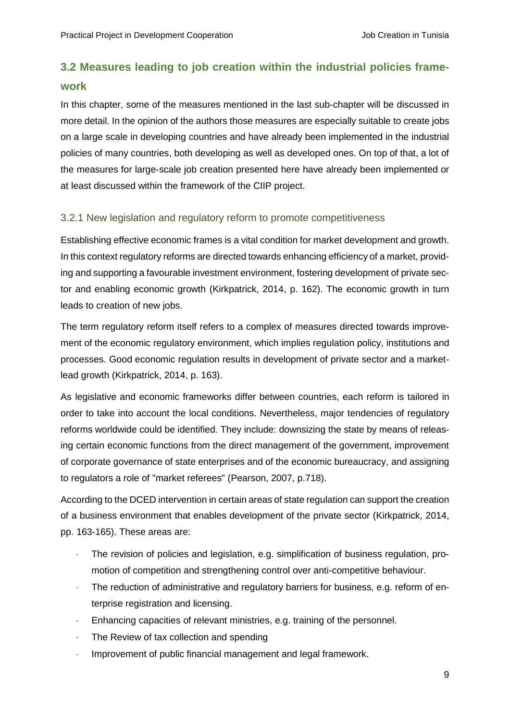# <span id="page-13-0"></span>**3.2 Measures leading to job creation within the industrial policies framework**

In this chapter, some of the measures mentioned in the last sub-chapter will be discussed in more detail. In the opinion of the authors those measures are especially suitable to create jobs on a large scale in developing countries and have already been implemented in the industrial policies of many countries, both developing as well as developed ones. On top of that, a lot of the measures for large-scale job creation presented here have already been implemented or at least discussed within the framework of the CIIP project.

### <span id="page-13-1"></span>3.2.1 New legislation and regulatory reform to promote competitiveness

Establishing effective economic frames is a vital condition for market development and growth. In this context regulatory reforms are directed towards enhancing efficiency of a market, providing and supporting a favourable investment environment, fostering development of private sector and enabling economic growth (Kirkpatrick, 2014, p. 162). The economic growth in turn leads to creation of new jobs.

The term regulatory reform itself refers to a complex of measures directed towards improvement of the economic regulatory environment, which implies regulation policy, institutions and processes. Good economic regulation results in development of private sector and a marketlead growth (Kirkpatrick, 2014, p. 163).

As legislative and economic frameworks differ between countries, each reform is tailored in order to take into account the local conditions. Nevertheless, major tendencies of regulatory reforms worldwide could be identified. They include: downsizing the state by means of releasing certain economic functions from the direct management of the government, improvement of corporate governance of state enterprises and of the economic bureaucracy, and assigning to regulators a role of "market referees" (Pearson, 2007, p.718).

According to the DCED intervention in certain areas of state regulation can support the creation of a business environment that enables development of the private sector (Kirkpatrick, 2014, pp. 163-165). These areas are:

- The revision of policies and legislation, e.g. simplification of business regulation, promotion of competition and strengthening control over anti-competitive behaviour.
- The reduction of administrative and regulatory barriers for business, e.g. reform of enterprise registration and licensing.
- Enhancing capacities of relevant ministries, e.g. training of the personnel.
- The Review of tax collection and spending
- Improvement of public financial management and legal framework.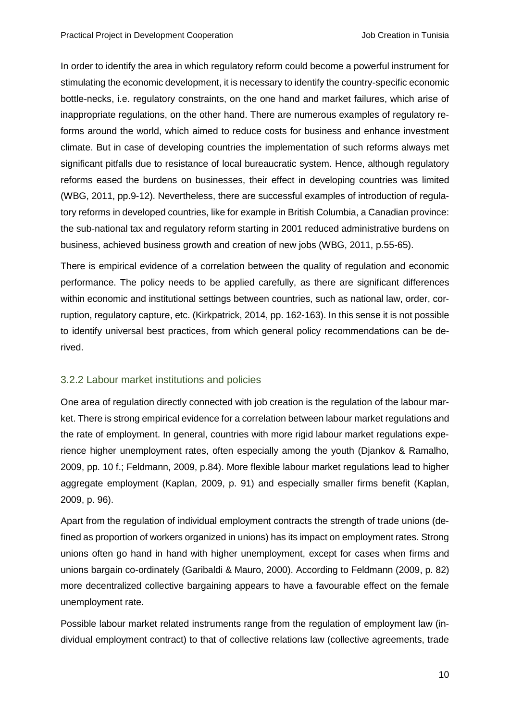In order to identify the area in which regulatory reform could become a powerful instrument for stimulating the economic development, it is necessary to identify the country-specific economic bottle-necks, i.e. regulatory constraints, on the one hand and market failures, which arise of inappropriate regulations, on the other hand. There are numerous examples of regulatory reforms around the world, which aimed to reduce costs for business and enhance investment climate. But in case of developing countries the implementation of such reforms always met significant pitfalls due to resistance of local bureaucratic system. Hence, although regulatory reforms eased the burdens on businesses, their effect in developing countries was limited (WBG, 2011, pp.9-12). Nevertheless, there are successful examples of introduction of regulatory reforms in developed countries, like for example in British Columbia, a Canadian province: the sub-national tax and regulatory reform starting in 2001 reduced administrative burdens on business, achieved business growth and creation of new jobs (WBG, 2011, p.55-65).

There is empirical evidence of a correlation between the quality of regulation and economic performance. The policy needs to be applied carefully, as there are significant differences within economic and institutional settings between countries, such as national law, order, corruption, regulatory capture, etc. (Kirkpatrick, 2014, pp. 162-163). In this sense it is not possible to identify universal best practices, from which general policy recommendations can be derived.

#### <span id="page-14-0"></span>3.2.2 Labour market institutions and policies

One area of regulation directly connected with job creation is the regulation of the labour market. There is strong empirical evidence for a correlation between labour market regulations and the rate of employment. In general, countries with more rigid labour market regulations experience higher unemployment rates, often especially among the youth (Djankov & Ramalho, 2009, pp. 10 f.; Feldmann, 2009, p.84). More flexible labour market regulations lead to higher aggregate employment (Kaplan, 2009, p. 91) and especially smaller firms benefit (Kaplan, 2009, p. 96).

Apart from the regulation of individual employment contracts the strength of trade unions (defined as proportion of workers organized in unions) has its impact on employment rates. Strong unions often go hand in hand with higher unemployment, except for cases when firms and unions bargain co-ordinately (Garibaldi & Mauro, 2000). According to Feldmann (2009, p. 82) more decentralized collective bargaining appears to have a favourable effect on the female unemployment rate.

Possible labour market related instruments range from the regulation of employment law (individual employment contract) to that of collective relations law (collective agreements, trade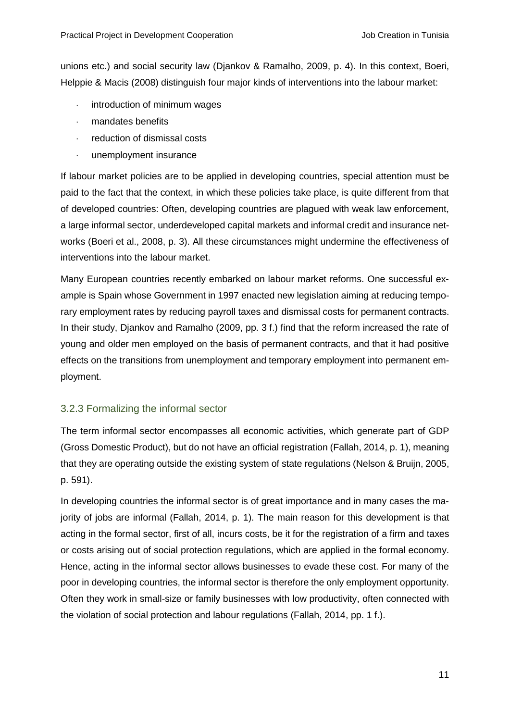unions etc.) and social security law (Djankov & Ramalho, 2009, p. 4). In this context, Boeri, Helppie & Macis (2008) distinguish four major kinds of interventions into the labour market:

- introduction of minimum wages
- mandates benefits
- reduction of dismissal costs
- unemployment insurance

If labour market policies are to be applied in developing countries, special attention must be paid to the fact that the context, in which these policies take place, is quite different from that of developed countries: Often, developing countries are plagued with weak law enforcement, a large informal sector, underdeveloped capital markets and informal credit and insurance networks (Boeri et al., 2008, p. 3). All these circumstances might undermine the effectiveness of interventions into the labour market.

Many European countries recently embarked on labour market reforms. One successful example is Spain whose Government in 1997 enacted new legislation aiming at reducing temporary employment rates by reducing payroll taxes and dismissal costs for permanent contracts. In their study, Djankov and Ramalho (2009, pp. 3 f.) find that the reform increased the rate of young and older men employed on the basis of permanent contracts, and that it had positive effects on the transitions from unemployment and temporary employment into permanent employment.

### <span id="page-15-0"></span>3.2.3 Formalizing the informal sector

The term informal sector encompasses all economic activities, which generate part of GDP (Gross Domestic Product), but do not have an official registration (Fallah, 2014, p. 1), meaning that they are operating outside the existing system of state regulations (Nelson & Bruijn, 2005, p. 591).

In developing countries the informal sector is of great importance and in many cases the majority of jobs are informal (Fallah, 2014, p. 1). The main reason for this development is that acting in the formal sector, first of all, incurs costs, be it for the registration of a firm and taxes or costs arising out of social protection regulations, which are applied in the formal economy. Hence, acting in the informal sector allows businesses to evade these cost. For many of the poor in developing countries, the informal sector is therefore the only employment opportunity. Often they work in small-size or family businesses with low productivity, often connected with the violation of social protection and labour regulations (Fallah, 2014, pp. 1 f.).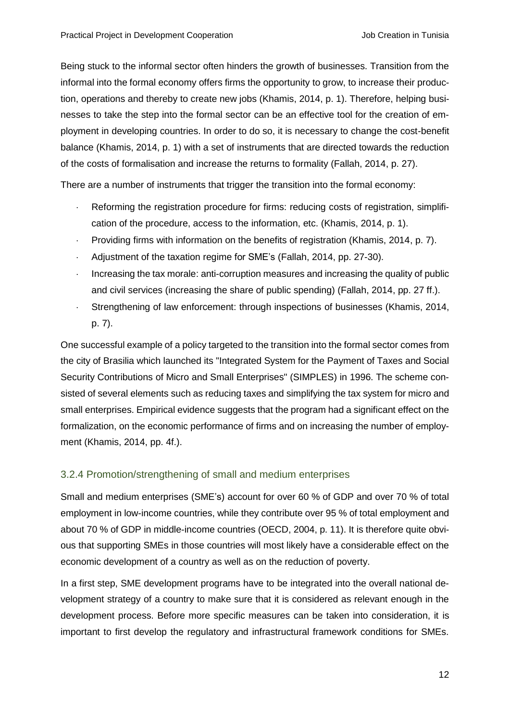Being stuck to the informal sector often hinders the growth of businesses. Transition from the informal into the formal economy offers firms the opportunity to grow, to increase their production, operations and thereby to create new jobs (Khamis, 2014, p. 1). Therefore, helping businesses to take the step into the formal sector can be an effective tool for the creation of employment in developing countries. In order to do so, it is necessary to change the cost-benefit balance (Khamis, 2014, p. 1) with a set of instruments that are directed towards the reduction of the costs of formalisation and increase the returns to formality (Fallah, 2014, p. 27).

There are a number of instruments that trigger the transition into the formal economy:

- Reforming the registration procedure for firms: reducing costs of registration, simplification of the procedure, access to the information, etc. (Khamis, 2014, p. 1).
- Providing firms with information on the benefits of registration (Khamis, 2014, p. 7).
- Adjustment of the taxation regime for SME's (Fallah, 2014, pp. 27-30).
- Increasing the tax morale: anti-corruption measures and increasing the quality of public and civil services (increasing the share of public spending) (Fallah, 2014, pp. 27 ff.).
- Strengthening of law enforcement: through inspections of businesses (Khamis, 2014, p. 7).

One successful example of a policy targeted to the transition into the formal sector comes from the city of Brasilia which launched its "Integrated System for the Payment of Taxes and Social Security Contributions of Micro and Small Enterprises" (SIMPLES) in 1996. The scheme consisted of several elements such as reducing taxes and simplifying the tax system for micro and small enterprises. Empirical evidence suggests that the program had a significant effect on the formalization, on the economic performance of firms and on increasing the number of employment (Khamis, 2014, pp. 4f.).

# <span id="page-16-0"></span>3.2.4 Promotion/strengthening of small and medium enterprises

Small and medium enterprises (SME's) account for over 60 % of GDP and over 70 % of total employment in low-income countries, while they contribute over 95 % of total employment and about 70 % of GDP in middle-income countries (OECD, 2004, p. 11). It is therefore quite obvious that supporting SMEs in those countries will most likely have a considerable effect on the economic development of a country as well as on the reduction of poverty.

In a first step, SME development programs have to be integrated into the overall national development strategy of a country to make sure that it is considered as relevant enough in the development process. Before more specific measures can be taken into consideration, it is important to first develop the regulatory and infrastructural framework conditions for SMEs.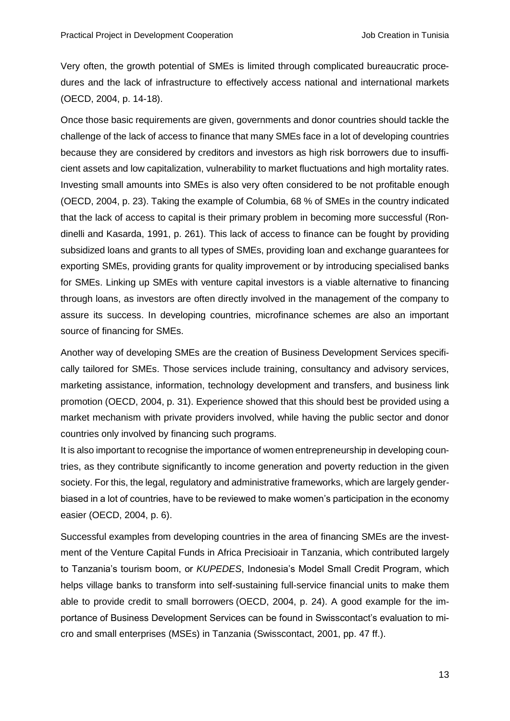Very often, the growth potential of SMEs is limited through complicated bureaucratic procedures and the lack of infrastructure to effectively access national and international markets (OECD, 2004, p. 14-18).

Once those basic requirements are given, governments and donor countries should tackle the challenge of the lack of access to finance that many SMEs face in a lot of developing countries because they are considered by creditors and investors as high risk borrowers due to insufficient assets and low capitalization, vulnerability to market fluctuations and high mortality rates. Investing small amounts into SMEs is also very often considered to be not profitable enough (OECD, 2004, p. 23). Taking the example of Columbia, 68 % of SMEs in the country indicated that the lack of access to capital is their primary problem in becoming more successful (Rondinelli and Kasarda, 1991, p. 261). This lack of access to finance can be fought by providing subsidized loans and grants to all types of SMEs, providing loan and exchange guarantees for exporting SMEs, providing grants for quality improvement or by introducing specialised banks for SMEs. Linking up SMEs with venture capital investors is a viable alternative to financing through loans, as investors are often directly involved in the management of the company to assure its success. In developing countries, microfinance schemes are also an important source of financing for SMEs.

Another way of developing SMEs are the creation of Business Development Services specifically tailored for SMEs. Those services include training, consultancy and advisory services, marketing assistance, information, technology development and transfers, and business link promotion (OECD, 2004, p. 31). Experience showed that this should best be provided using a market mechanism with private providers involved, while having the public sector and donor countries only involved by financing such programs.

It is also important to recognise the importance of women entrepreneurship in developing countries, as they contribute significantly to income generation and poverty reduction in the given society. For this, the legal, regulatory and administrative frameworks, which are largely genderbiased in a lot of countries, have to be reviewed to make women's participation in the economy easier (OECD, 2004, p. 6).

Successful examples from developing countries in the area of financing SMEs are the investment of the Venture Capital Funds in Africa Precisioair in Tanzania, which contributed largely to Tanzania's tourism boom, or *KUPEDES*, Indonesia's Model Small Credit Program, which helps village banks to transform into self-sustaining full-service financial units to make them able to provide credit to small borrowers (OECD, 2004, p. 24). A good example for the importance of Business Development Services can be found in Swisscontact's evaluation to micro and small enterprises (MSEs) in Tanzania (Swisscontact, 2001, pp. 47 ff.).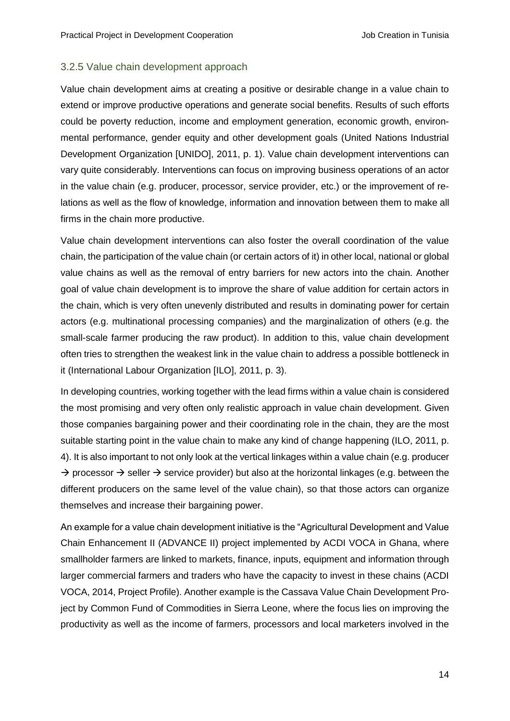#### <span id="page-18-0"></span>3.2.5 Value chain development approach

Value chain development aims at creating a positive or desirable change in a value chain to extend or improve productive operations and generate social benefits. Results of such efforts could be poverty reduction, income and employment generation, economic growth, environmental performance, gender equity and other development goals (United Nations Industrial Development Organization [UNIDO], 2011, p. 1). Value chain development interventions can vary quite considerably. Interventions can focus on improving business operations of an actor in the value chain (e.g. producer, processor, service provider, etc.) or the improvement of relations as well as the flow of knowledge, information and innovation between them to make all firms in the chain more productive.

Value chain development interventions can also foster the overall coordination of the value chain, the participation of the value chain (or certain actors of it) in other local, national or global value chains as well as the removal of entry barriers for new actors into the chain. Another goal of value chain development is to improve the share of value addition for certain actors in the chain, which is very often unevenly distributed and results in dominating power for certain actors (e.g. multinational processing companies) and the marginalization of others (e.g. the small-scale farmer producing the raw product). In addition to this, value chain development often tries to strengthen the weakest link in the value chain to address a possible bottleneck in it (International Labour Organization [ILO], 2011, p. 3).

In developing countries, working together with the lead firms within a value chain is considered the most promising and very often only realistic approach in value chain development. Given those companies bargaining power and their coordinating role in the chain, they are the most suitable starting point in the value chain to make any kind of change happening (ILO, 2011, p. 4). It is also important to not only look at the vertical linkages within a value chain (e.g. producer  $\rightarrow$  processor  $\rightarrow$  seller  $\rightarrow$  service provider) but also at the horizontal linkages (e.g. between the different producers on the same level of the value chain), so that those actors can organize themselves and increase their bargaining power.

An example for a value chain development initiative is the "Agricultural Development and Value Chain Enhancement II (ADVANCE II) project implemented by ACDI VOCA in Ghana, where smallholder farmers are linked to markets, finance, inputs, equipment and information through larger commercial farmers and traders who have the capacity to invest in these chains (ACDI VOCA, 2014, Project Profile). Another example is the Cassava Value Chain Development Project by Common Fund of Commodities in Sierra Leone, where the focus lies on improving the productivity as well as the income of farmers, processors and local marketers involved in the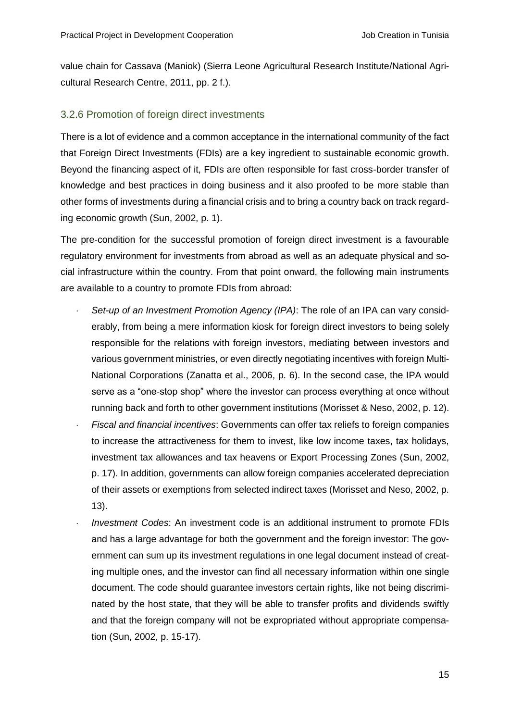value chain for Cassava (Maniok) (Sierra Leone Agricultural Research Institute/National Agricultural Research Centre, 2011, pp. 2 f.).

#### <span id="page-19-0"></span>3.2.6 Promotion of foreign direct investments

There is a lot of evidence and a common acceptance in the international community of the fact that Foreign Direct Investments (FDIs) are a key ingredient to sustainable economic growth. Beyond the financing aspect of it, FDIs are often responsible for fast cross-border transfer of knowledge and best practices in doing business and it also proofed to be more stable than other forms of investments during a financial crisis and to bring a country back on track regarding economic growth (Sun, 2002, p. 1).

The pre-condition for the successful promotion of foreign direct investment is a favourable regulatory environment for investments from abroad as well as an adequate physical and social infrastructure within the country. From that point onward, the following main instruments are available to a country to promote FDIs from abroad:

- *Set-up of an Investment Promotion Agency (IPA)*: The role of an IPA can vary considerably, from being a mere information kiosk for foreign direct investors to being solely responsible for the relations with foreign investors, mediating between investors and various government ministries, or even directly negotiating incentives with foreign Multi-National Corporations (Zanatta et al., 2006, p. 6). In the second case, the IPA would serve as a "one-stop shop" where the investor can process everything at once without running back and forth to other government institutions (Morisset & Neso, 2002, p. 12).
- *Fiscal and financial incentives*: Governments can offer tax reliefs to foreign companies to increase the attractiveness for them to invest, like low income taxes, tax holidays, investment tax allowances and tax heavens or Export Processing Zones (Sun, 2002, p. 17). In addition, governments can allow foreign companies accelerated depreciation of their assets or exemptions from selected indirect taxes (Morisset and Neso, 2002, p. 13).
- *Investment Codes*: An investment code is an additional instrument to promote FDIs and has a large advantage for both the government and the foreign investor: The government can sum up its investment regulations in one legal document instead of creating multiple ones, and the investor can find all necessary information within one single document. The code should guarantee investors certain rights, like not being discriminated by the host state, that they will be able to transfer profits and dividends swiftly and that the foreign company will not be expropriated without appropriate compensation (Sun, 2002, p. 15-17).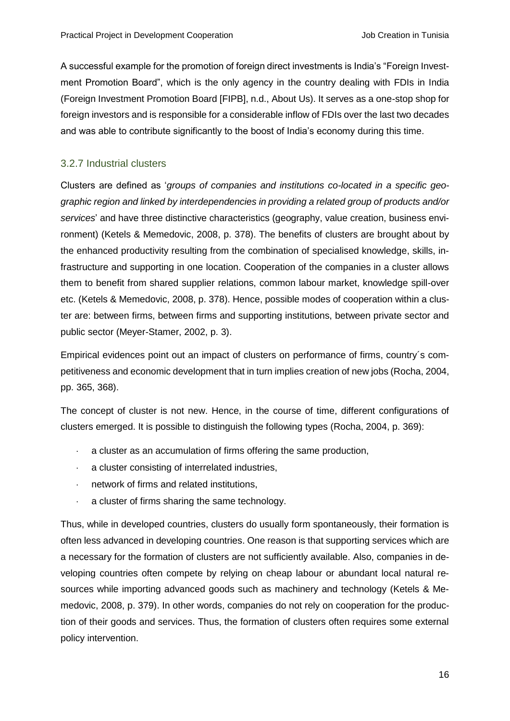A successful example for the promotion of foreign direct investments is India's "Foreign Investment Promotion Board", which is the only agency in the country dealing with FDIs in India (Foreign Investment Promotion Board [FIPB], n.d., About Us). It serves as a one-stop shop for foreign investors and is responsible for a considerable inflow of FDIs over the last two decades and was able to contribute significantly to the boost of India's economy during this time.

### <span id="page-20-0"></span>3.2.7 Industrial clusters

Clusters are defined as '*groups of companies and institutions co-located in a specific geographic region and linked by interdependencies in providing a related group of products and/or services*' and have three distinctive characteristics (geography, value creation, business environment) (Ketels & Memedovic, 2008, p. 378). The benefits of clusters are brought about by the enhanced productivity resulting from the combination of specialised knowledge, skills, infrastructure and supporting in one location. Cooperation of the companies in a cluster allows them to benefit from shared supplier relations, common labour market, knowledge spill-over etc. (Ketels & Memedovic, 2008, p. 378). Hence, possible modes of cooperation within a cluster are: between firms, between firms and supporting institutions, between private sector and public sector (Meyer-Stamer, 2002, p. 3).

Empirical evidences point out an impact of clusters on performance of firms, country´s competitiveness and economic development that in turn implies creation of new jobs (Rocha, 2004, pp. 365, 368).

The concept of cluster is not new. Hence, in the course of time, different configurations of clusters emerged. It is possible to distinguish the following types (Rocha, 2004, p. 369):

- a cluster as an accumulation of firms offering the same production,
- a cluster consisting of interrelated industries,
- network of firms and related institutions,
- a cluster of firms sharing the same technology.

Thus, while in developed countries, clusters do usually form spontaneously, their formation is often less advanced in developing countries. One reason is that supporting services which are a necessary for the formation of clusters are not sufficiently available. Also, companies in developing countries often compete by relying on cheap labour or abundant local natural resources while importing advanced goods such as machinery and technology (Ketels & Memedovic, 2008, p. 379). In other words, companies do not rely on cooperation for the production of their goods and services. Thus, the formation of clusters often requires some external policy intervention.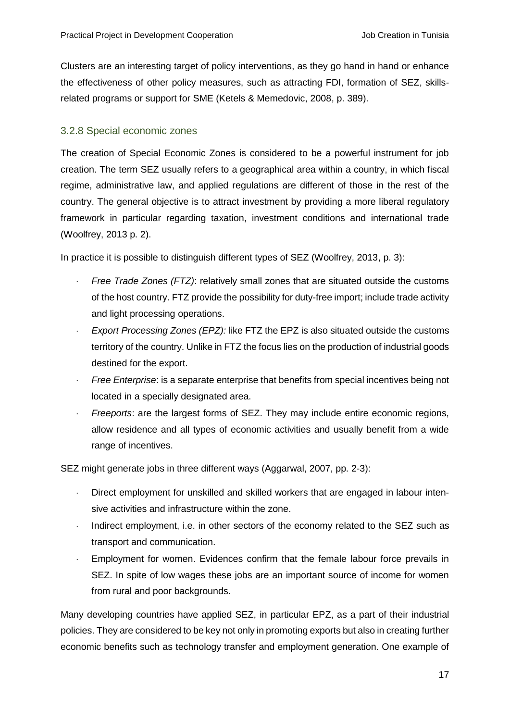Clusters are an interesting target of policy interventions, as they go hand in hand or enhance the effectiveness of other policy measures, such as attracting FDI, formation of SEZ, skillsrelated programs or support for SME (Ketels & Memedovic, 2008, p. 389).

## <span id="page-21-0"></span>3.2.8 Special economic zones

The creation of Special Economic Zones is considered to be a powerful instrument for job creation. The term SEZ usually refers to a geographical area within a country, in which fiscal regime, administrative law, and applied regulations are different of those in the rest of the country. The general objective is to attract investment by providing a more liberal regulatory framework in particular regarding taxation, investment conditions and international trade (Woolfrey, 2013 p. 2).

In practice it is possible to distinguish different types of SEZ (Woolfrey, 2013, p. 3):

- *Free Trade Zones (FTZ)*: relatively small zones that are situated outside the customs of the host country. FTZ provide the possibility for duty-free import; include trade activity and light processing operations.
- *Export Processing Zones (EPZ):* like FTZ the EPZ is also situated outside the customs territory of the country. Unlike in FTZ the focus lies on the production of industrial goods destined for the export.
- *Free Enterprise*: is a separate enterprise that benefits from special incentives being not located in a specially designated area.
- *Freeports*: are the largest forms of SEZ. They may include entire economic regions, allow residence and all types of economic activities and usually benefit from a wide range of incentives.

SEZ might generate jobs in three different ways (Aggarwal, 2007, pp. 2-3):

- Direct employment for unskilled and skilled workers that are engaged in labour intensive activities and infrastructure within the zone.
- Indirect employment, i.e. in other sectors of the economy related to the SEZ such as transport and communication.
- Employment for women. Evidences confirm that the female labour force prevails in SEZ. In spite of low wages these jobs are an important source of income for women from rural and poor backgrounds.

Many developing countries have applied SEZ, in particular EPZ, as a part of their industrial policies. They are considered to be key not only in promoting exports but also in creating further economic benefits such as technology transfer and employment generation. One example of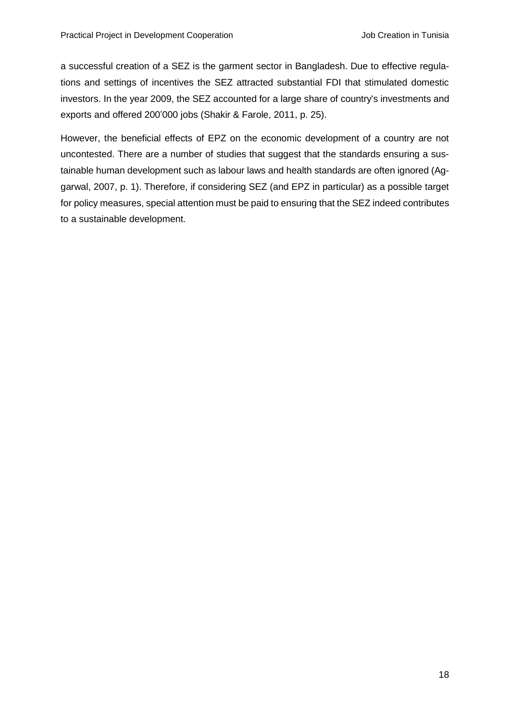a successful creation of a SEZ is the garment sector in Bangladesh. Due to effective regulations and settings of incentives the SEZ attracted substantial FDI that stimulated domestic investors. In the year 2009, the SEZ accounted for a large share of country's investments and exports and offered 200'000 jobs (Shakir & Farole, 2011, p. 25).

However, the beneficial effects of EPZ on the economic development of a country are not uncontested. There are a number of studies that suggest that the standards ensuring a sustainable human development such as labour laws and health standards are often ignored (Aggarwal, 2007, p. 1). Therefore, if considering SEZ (and EPZ in particular) as a possible target for policy measures, special attention must be paid to ensuring that the SEZ indeed contributes to a sustainable development.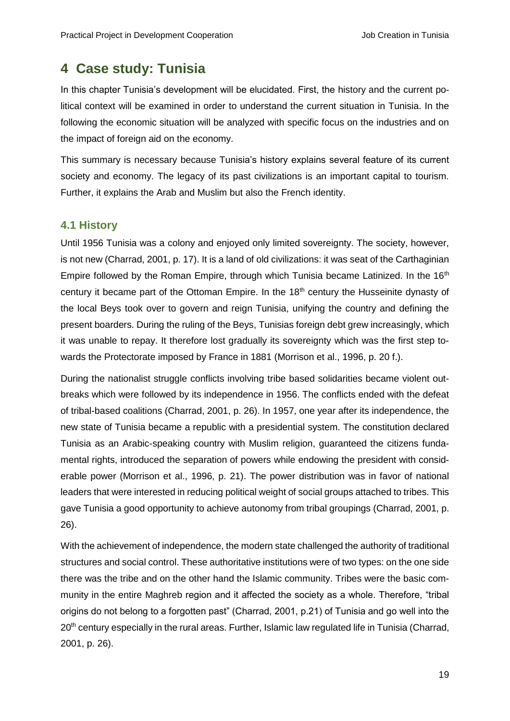# <span id="page-23-0"></span>**4 Case study: Tunisia**

In this chapter Tunisia's development will be elucidated. First, the history and the current political context will be examined in order to understand the current situation in Tunisia. In the following the economic situation will be analyzed with specific focus on the industries and on the impact of foreign aid on the economy.

This summary is necessary because Tunisia's history explains several feature of its current society and economy. The legacy of its past civilizations is an important capital to tourism. Further, it explains the Arab and Muslim but also the French identity.

## <span id="page-23-1"></span>**4.1 History**

Until 1956 Tunisia was a colony and enjoyed only limited sovereignty. The society, however, is not new (Charrad, 2001, p. 17). It is a land of old civilizations: it was seat of the Carthaginian Empire followed by the Roman Empire, through which Tunisia became Latinized. In the 16<sup>th</sup> century it became part of the Ottoman Empire. In the 18<sup>th</sup> century the Husseinite dynasty of the local Beys took over to govern and reign Tunisia, unifying the country and defining the present boarders. During the ruling of the Beys, Tunisias foreign debt grew increasingly, which it was unable to repay. It therefore lost gradually its sovereignty which was the first step towards the Protectorate imposed by France in 1881 (Morrison et al., 1996, p. 20 f.).

During the nationalist struggle conflicts involving tribe based solidarities became violent outbreaks which were followed by its independence in 1956. The conflicts ended with the defeat of tribal-based coalitions (Charrad, 2001, p. 26). In 1957, one year after its independence, the new state of Tunisia became a republic with a presidential system. The constitution declared Tunisia as an Arabic-speaking country with Muslim religion, guaranteed the citizens fundamental rights, introduced the separation of powers while endowing the president with considerable power (Morrison et al., 1996, p. 21). The power distribution was in favor of national leaders that were interested in reducing political weight of social groups attached to tribes. This gave Tunisia a good opportunity to achieve autonomy from tribal groupings (Charrad, 2001, p. 26).

With the achievement of independence, the modern state challenged the authority of traditional structures and social control. These authoritative institutions were of two types: on the one side there was the tribe and on the other hand the Islamic community. Tribes were the basic community in the entire Maghreb region and it affected the society as a whole. Therefore, "tribal origins do not belong to a forgotten past" (Charrad, 2001, p.21) of Tunisia and go well into the 20<sup>th</sup> century especially in the rural areas. Further, Islamic law regulated life in Tunisia (Charrad, 2001, p. 26).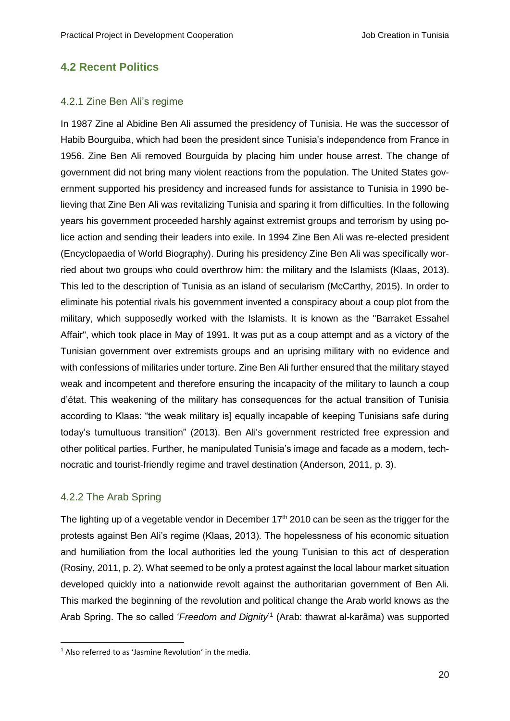## <span id="page-24-0"></span>**4.2 Recent Politics**

#### <span id="page-24-1"></span>4.2.1 Zine Ben Ali's regime

In 1987 Zine al Abidine Ben Ali assumed the presidency of Tunisia. He was the successor of Habib Bourguiba, which had been the president since Tunisia's independence from France in 1956. Zine Ben Ali removed Bourguida by placing him under house arrest. The change of government did not bring many violent reactions from the population. The United States government supported his presidency and increased funds for assistance to Tunisia in 1990 believing that Zine Ben Ali was revitalizing Tunisia and sparing it from difficulties. In the following years his government proceeded harshly against extremist groups and terrorism by using police action and sending their leaders into exile. In 1994 Zine Ben Ali was re-elected president (Encyclopaedia of World Biography). During his presidency Zine Ben Ali was specifically worried about two groups who could overthrow him: the military and the Islamists (Klaas, 2013). This led to the description of Tunisia as an island of secularism (McCarthy, 2015). In order to eliminate his potential rivals his government invented a conspiracy about a coup plot from the military, which supposedly worked with the Islamists. It is known as the "Barraket Essahel Affair", which took place in May of 1991. It was put as a coup attempt and as a victory of the Tunisian government over extremists groups and an uprising military with no evidence and with confessions of militaries under torture. Zine Ben Ali further ensured that the military stayed weak and incompetent and therefore ensuring the incapacity of the military to launch a coup d'état. This weakening of the military has consequences for the actual transition of Tunisia according to Klaas: "the weak military is] equally incapable of keeping Tunisians safe during today's tumultuous transition" (2013). Ben Ali's government restricted free expression and other political parties. Further, he manipulated Tunisia's image and facade as a modern, technocratic and tourist-friendly regime and travel destination (Anderson, 2011, p. 3).

### <span id="page-24-2"></span>4.2.2 The Arab Spring

-

The lighting up of a vegetable vendor in December  $17<sup>th</sup>$  2010 can be seen as the trigger for the protests against Ben Ali's regime (Klaas, 2013). The hopelessness of his economic situation and humiliation from the local authorities led the young Tunisian to this act of desperation (Rosiny, 2011, p. 2). What seemed to be only a protest against the local labour market situation developed quickly into a nationwide revolt against the authoritarian government of Ben Ali. This marked the beginning of the revolution and political change the Arab world knows as the Arab Spring. The so called '*Freedom and Dignity*' 1 (Arab: thawrat al-karãma) was supported

 $1$  Also referred to as 'Jasmine Revolution' in the media.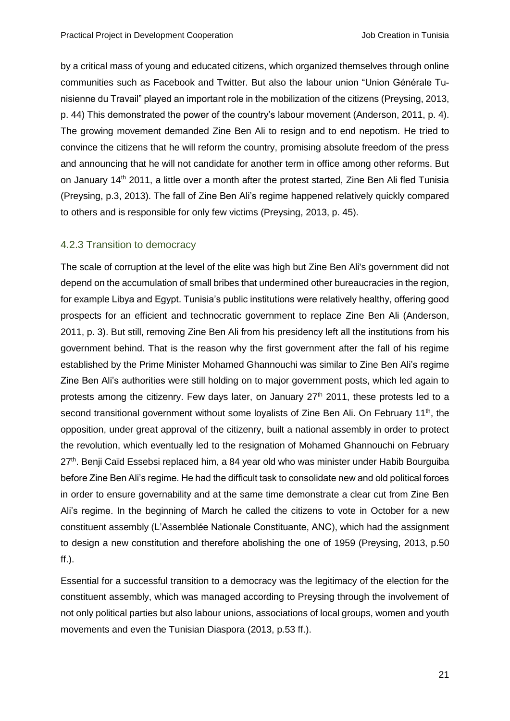by a critical mass of young and educated citizens, which organized themselves through online communities such as Facebook and Twitter. But also the labour union "Union Générale Tunisienne du Travail" played an important role in the mobilization of the citizens (Preysing, 2013, p. 44) This demonstrated the power of the country's labour movement (Anderson, 2011, p. 4). The growing movement demanded Zine Ben Ali to resign and to end nepotism. He tried to convince the citizens that he will reform the country, promising absolute freedom of the press and announcing that he will not candidate for another term in office among other reforms. But on January 14<sup>th</sup> 2011, a little over a month after the protest started, Zine Ben Ali fled Tunisia (Preysing, p.3, 2013). The fall of Zine Ben Ali's regime happened relatively quickly compared to others and is responsible for only few victims (Preysing, 2013, p. 45).

## <span id="page-25-0"></span>4.2.3 Transition to democracy

The scale of corruption at the level of the elite was high but Zine Ben Ali's government did not depend on the accumulation of small bribes that undermined other bureaucracies in the region, for example Libya and Egypt. Tunisia's public institutions were relatively healthy, offering good prospects for an efficient and technocratic government to replace Zine Ben Ali (Anderson, 2011, p. 3). But still, removing Zine Ben Ali from his presidency left all the institutions from his government behind. That is the reason why the first government after the fall of his regime established by the Prime Minister Mohamed Ghannouchi was similar to Zine Ben Ali's regime Zine Ben Ali's authorities were still holding on to major government posts, which led again to protests among the citizenry. Few days later, on January 27<sup>th</sup> 2011, these protests led to a second transitional government without some loyalists of Zine Ben Ali. On February 11<sup>th</sup>, the opposition, under great approval of the citizenry, built a national assembly in order to protect the revolution, which eventually led to the resignation of Mohamed Ghannouchi on February 27<sup>th</sup>. Benji Caïd Essebsi replaced him, a 84 year old who was minister under Habib Bourguiba before Zine Ben Ali's regime. He had the difficult task to consolidate new and old political forces in order to ensure governability and at the same time demonstrate a clear cut from Zine Ben Ali's regime. In the beginning of March he called the citizens to vote in October for a new constituent assembly (L'Assemblée Nationale Constituante, ANC), which had the assignment to design a new constitution and therefore abolishing the one of 1959 (Preysing, 2013, p.50 ff.).

Essential for a successful transition to a democracy was the legitimacy of the election for the constituent assembly, which was managed according to Preysing through the involvement of not only political parties but also labour unions, associations of local groups, women and youth movements and even the Tunisian Diaspora (2013, p.53 ff.).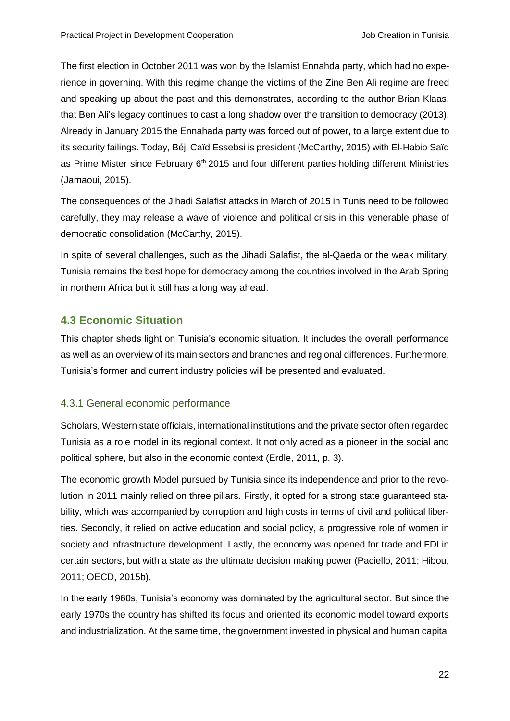The first election in October 2011 was won by the Islamist Ennahda party, which had no experience in governing. With this regime change the victims of the Zine Ben Ali regime are freed and speaking up about the past and this demonstrates, according to the author Brian Klaas, that Ben Ali's legacy continues to cast a long shadow over the transition to democracy (2013). Already in January 2015 the Ennahada party was forced out of power, to a large extent due to its security failings. Today, Béji Caïd Essebsi is president (McCarthy, 2015) with El-Habib Saïd as Prime Mister since February 6<sup>th</sup> 2015 and four different parties holding different Ministries (Jamaoui, 2015).

The consequences of the Jihadi Salafist attacks in March of 2015 in Tunis need to be followed carefully, they may release a wave of violence and political crisis in this venerable phase of democratic consolidation (McCarthy, 2015).

In spite of several challenges, such as the Jihadi Salafist, the al-Qaeda or the weak military, Tunisia remains the best hope for democracy among the countries involved in the Arab Spring in northern Africa but it still has a long way ahead.

# <span id="page-26-0"></span>**4.3 Economic Situation**

This chapter sheds light on Tunisia's economic situation. It includes the overall performance as well as an overview of its main sectors and branches and regional differences. Furthermore, Tunisia's former and current industry policies will be presented and evaluated.

# <span id="page-26-1"></span>4.3.1 General economic performance

Scholars, Western state officials, international institutions and the private sector often regarded Tunisia as a role model in its regional context. It not only acted as a pioneer in the social and political sphere, but also in the economic context (Erdle, 2011, p. 3).

The economic growth Model pursued by Tunisia since its independence and prior to the revolution in 2011 mainly relied on three pillars. Firstly, it opted for a strong state guaranteed stability, which was accompanied by corruption and high costs in terms of civil and political liberties. Secondly, it relied on active education and social policy, a progressive role of women in society and infrastructure development. Lastly, the economy was opened for trade and FDI in certain sectors, but with a state as the ultimate decision making power (Paciello, 2011; Hibou, 2011; OECD, 2015b).

In the early 1960s, Tunisia's economy was dominated by the agricultural sector. But since the early 1970s the country has shifted its focus and oriented its economic model toward exports and industrialization. At the same time, the government invested in physical and human capital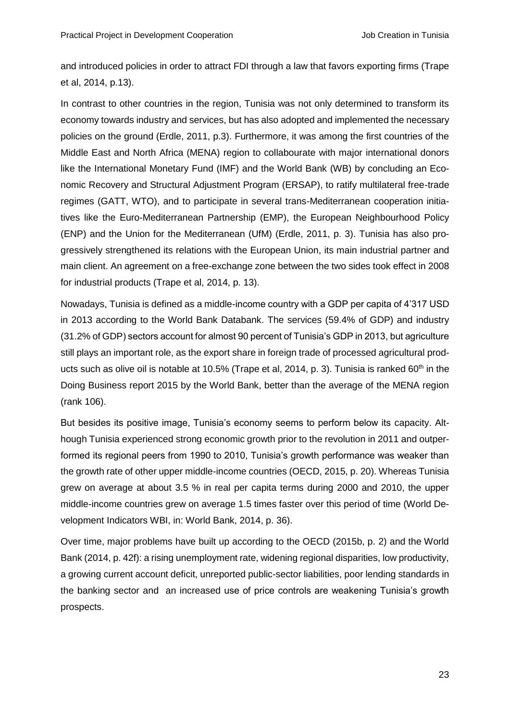and introduced policies in order to attract FDI through a law that favors exporting firms (Trape et al, 2014, p.13).

In contrast to other countries in the region, Tunisia was not only determined to transform its economy towards industry and services, but has also adopted and implemented the necessary policies on the ground (Erdle, 2011, p.3). Furthermore, it was among the first countries of the Middle East and North Africa (MENA) region to collabourate with major international donors like the International Monetary Fund (IMF) and the World Bank (WB) by concluding an Economic Recovery and Structural Adjustment Program (ERSAP), to ratify multilateral free-trade regimes (GATT, WTO), and to participate in several trans-Mediterranean cooperation initiatives like the Euro-Mediterranean Partnership (EMP), the European Neighbourhood Policy (ENP) and the Union for the Mediterranean (UfM) (Erdle, 2011, p. 3). Tunisia has also progressively strengthened its relations with the European Union, its main industrial partner and main client. An agreement on a free-exchange zone between the two sides took effect in 2008 for industrial products (Trape et al, 2014, p. 13).

Nowadays, Tunisia is defined as a middle-income country with a GDP per capita of 4'317 USD in 2013 according to the World Bank Databank. The services (59.4% of GDP) and industry (31.2% of GDP) sectors account for almost 90 percent of Tunisia's GDP in 2013, but agriculture still plays an important role, as the export share in foreign trade of processed agricultural products such as olive oil is notable at 10.5% (Trape et al, 2014, p. 3). Tunisia is ranked  $60<sup>th</sup>$  in the Doing Business report 2015 by the World Bank, better than the average of the MENA region (rank 106).

But besides its positive image, Tunisia's economy seems to perform below its capacity. Although Tunisia experienced strong economic growth prior to the revolution in 2011 and outperformed its regional peers from 1990 to 2010, Tunisia's growth performance was weaker than the growth rate of other upper middle-income countries (OECD, 2015, p. 20). Whereas Tunisia grew on average at about 3.5 % in real per capita terms during 2000 and 2010, the upper middle-income countries grew on average 1.5 times faster over this period of time (World Development Indicators WBI, in: World Bank, 2014, p. 36).

Over time, major problems have built up according to the OECD (2015b, p. 2) and the World Bank (2014, p. 42f): a rising unemployment rate, widening regional disparities, low productivity, a growing current account deficit, unreported public-sector liabilities, poor lending standards in the banking sector and an increased use of price controls are weakening Tunisia's growth prospects.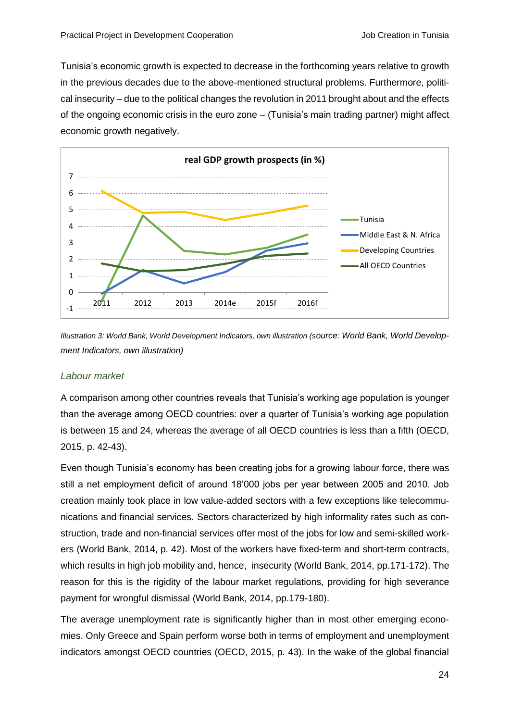Tunisia's economic growth is expected to decrease in the forthcoming years relative to growth in the previous decades due to the above-mentioned structural problems. Furthermore, political insecurity – due to the political changes the revolution in 2011 brought about and the effects of the ongoing economic crisis in the euro zone – (Tunisia's main trading partner) might affect economic growth negatively.



<span id="page-28-0"></span>*Illustration 3: World Bank, World Development Indicators, own illustration (source: World Bank, World Development Indicators, own illustration)*

#### *Labour market*

A comparison among other countries reveals that Tunisia's working age population is younger than the average among OECD countries: over a quarter of Tunisia's working age population is between 15 and 24, whereas the average of all OECD countries is less than a fifth (OECD, 2015, p. 42-43).

Even though Tunisia's economy has been creating jobs for a growing labour force, there was still a net employment deficit of around 18'000 jobs per year between 2005 and 2010. Job creation mainly took place in low value-added sectors with a few exceptions like telecommunications and financial services. Sectors characterized by high informality rates such as construction, trade and non-financial services offer most of the jobs for low and semi-skilled workers (World Bank, 2014, p. 42). Most of the workers have fixed-term and short-term contracts, which results in high job mobility and, hence, insecurity (World Bank, 2014, pp.171-172). The reason for this is the rigidity of the labour market regulations, providing for high severance payment for wrongful dismissal (World Bank, 2014, pp.179-180).

The average unemployment rate is significantly higher than in most other emerging economies. Only Greece and Spain perform worse both in terms of employment and unemployment indicators amongst OECD countries (OECD, 2015, p. 43). In the wake of the global financial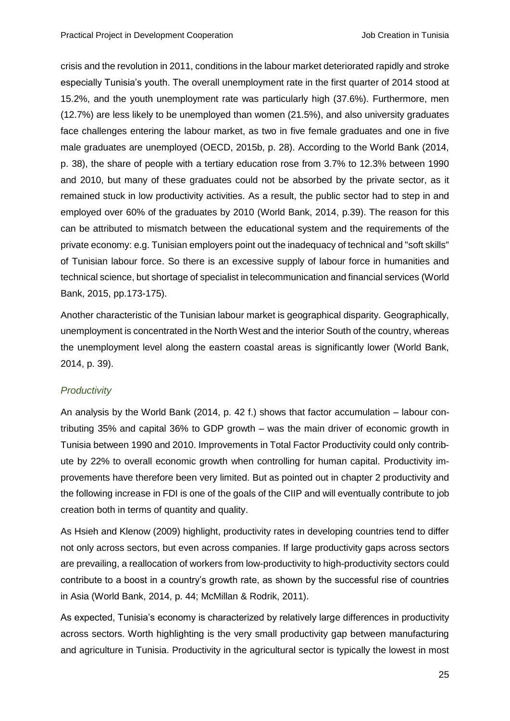crisis and the revolution in 2011, conditions in the labour market deteriorated rapidly and stroke especially Tunisia's youth. The overall unemployment rate in the first quarter of 2014 stood at 15.2%, and the youth unemployment rate was particularly high (37.6%). Furthermore, men (12.7%) are less likely to be unemployed than women (21.5%), and also university graduates face challenges entering the labour market, as two in five female graduates and one in five male graduates are unemployed (OECD, 2015b, p. 28). According to the World Bank (2014, p. 38), the share of people with a tertiary education rose from 3.7% to 12.3% between 1990 and 2010, but many of these graduates could not be absorbed by the private sector, as it remained stuck in low productivity activities. As a result, the public sector had to step in and employed over 60% of the graduates by 2010 (World Bank, 2014, p.39). The reason for this can be attributed to mismatch between the educational system and the requirements of the private economy: e.g. Tunisian employers point out the inadequacy of technical and "soft skills" of Tunisian labour force. So there is an excessive supply of labour force in humanities and technical science, but shortage of specialist in telecommunication and financial services (World Bank, 2015, pp.173-175).

Another characteristic of the Tunisian labour market is geographical disparity. Geographically, unemployment is concentrated in the North West and the interior South of the country, whereas the unemployment level along the eastern coastal areas is significantly lower (World Bank, 2014, p. 39).

#### *Productivity*

An analysis by the World Bank (2014, p. 42 f.) shows that factor accumulation – labour contributing 35% and capital 36% to GDP growth – was the main driver of economic growth in Tunisia between 1990 and 2010. Improvements in Total Factor Productivity could only contribute by 22% to overall economic growth when controlling for human capital. Productivity improvements have therefore been very limited. But as pointed out in chapter 2 productivity and the following increase in FDI is one of the goals of the CIIP and will eventually contribute to job creation both in terms of quantity and quality.

As Hsieh and Klenow (2009) highlight, productivity rates in developing countries tend to differ not only across sectors, but even across companies. If large productivity gaps across sectors are prevailing, a reallocation of workers from low-productivity to high-productivity sectors could contribute to a boost in a country's growth rate, as shown by the successful rise of countries in Asia (World Bank, 2014, p. 44; McMillan & Rodrik, 2011).

As expected, Tunisia's economy is characterized by relatively large differences in productivity across sectors. Worth highlighting is the very small productivity gap between manufacturing and agriculture in Tunisia. Productivity in the agricultural sector is typically the lowest in most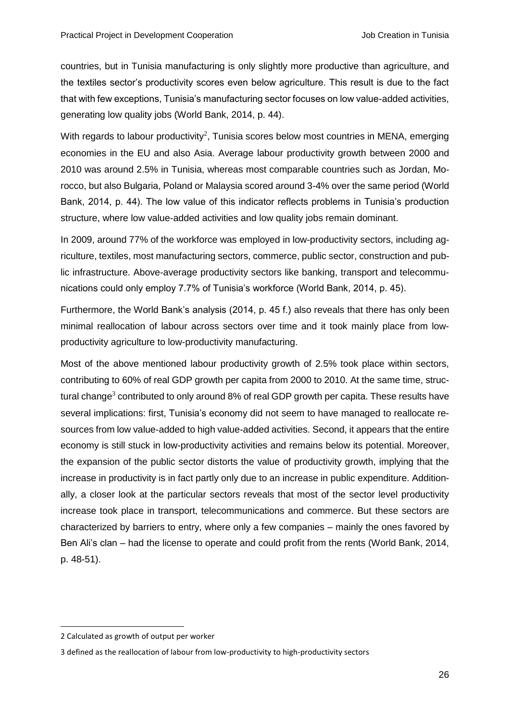countries, but in Tunisia manufacturing is only slightly more productive than agriculture, and the textiles sector's productivity scores even below agriculture. This result is due to the fact that with few exceptions, Tunisia's manufacturing sector focuses on low value-added activities, generating low quality jobs (World Bank, 2014, p. 44).

With regards to labour productivity<sup>2</sup>, Tunisia scores below most countries in MENA, emerging economies in the EU and also Asia. Average labour productivity growth between 2000 and 2010 was around 2.5% in Tunisia, whereas most comparable countries such as Jordan, Morocco, but also Bulgaria, Poland or Malaysia scored around 3-4% over the same period (World Bank, 2014, p. 44). The low value of this indicator reflects problems in Tunisia's production structure, where low value-added activities and low quality jobs remain dominant.

In 2009, around 77% of the workforce was employed in low-productivity sectors, including agriculture, textiles, most manufacturing sectors, commerce, public sector, construction and public infrastructure. Above-average productivity sectors like banking, transport and telecommunications could only employ 7.7% of Tunisia's workforce (World Bank, 2014, p. 45).

Furthermore, the World Bank's analysis (2014, p. 45 f.) also reveals that there has only been minimal reallocation of labour across sectors over time and it took mainly place from lowproductivity agriculture to low-productivity manufacturing.

Most of the above mentioned labour productivity growth of 2.5% took place within sectors, contributing to 60% of real GDP growth per capita from 2000 to 2010. At the same time, structural change<sup>3</sup> contributed to only around 8% of real GDP growth per capita. These results have several implications: first, Tunisia's economy did not seem to have managed to reallocate resources from low value-added to high value-added activities. Second, it appears that the entire economy is still stuck in low-productivity activities and remains below its potential. Moreover, the expansion of the public sector distorts the value of productivity growth, implying that the increase in productivity is in fact partly only due to an increase in public expenditure. Additionally, a closer look at the particular sectors reveals that most of the sector level productivity increase took place in transport, telecommunications and commerce. But these sectors are characterized by barriers to entry, where only a few companies – mainly the ones favored by Ben Ali's clan – had the license to operate and could profit from the rents (World Bank, 2014, p. 48-51).

-

<sup>2</sup> Calculated as growth of output per worker

<sup>3</sup> defined as the reallocation of labour from low-productivity to high-productivity sectors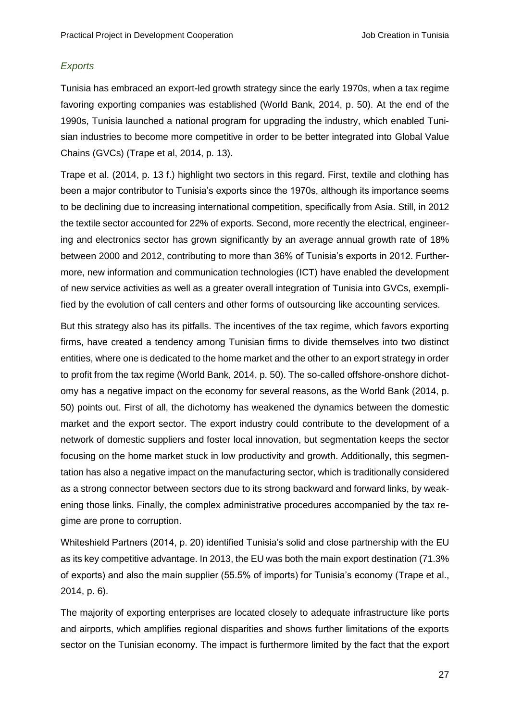#### *Exports*

Tunisia has embraced an export-led growth strategy since the early 1970s, when a tax regime favoring exporting companies was established (World Bank, 2014, p. 50). At the end of the 1990s, Tunisia launched a national program for upgrading the industry, which enabled Tunisian industries to become more competitive in order to be better integrated into Global Value Chains (GVCs) (Trape et al, 2014, p. 13).

Trape et al. (2014, p. 13 f.) highlight two sectors in this regard. First, textile and clothing has been a major contributor to Tunisia's exports since the 1970s, although its importance seems to be declining due to increasing international competition, specifically from Asia. Still, in 2012 the textile sector accounted for 22% of exports. Second, more recently the electrical, engineering and electronics sector has grown significantly by an average annual growth rate of 18% between 2000 and 2012, contributing to more than 36% of Tunisia's exports in 2012. Furthermore, new information and communication technologies (ICT) have enabled the development of new service activities as well as a greater overall integration of Tunisia into GVCs, exemplified by the evolution of call centers and other forms of outsourcing like accounting services.

But this strategy also has its pitfalls. The incentives of the tax regime, which favors exporting firms, have created a tendency among Tunisian firms to divide themselves into two distinct entities, where one is dedicated to the home market and the other to an export strategy in order to profit from the tax regime (World Bank, 2014, p. 50). The so-called offshore-onshore dichotomy has a negative impact on the economy for several reasons, as the World Bank (2014, p. 50) points out. First of all, the dichotomy has weakened the dynamics between the domestic market and the export sector. The export industry could contribute to the development of a network of domestic suppliers and foster local innovation, but segmentation keeps the sector focusing on the home market stuck in low productivity and growth. Additionally, this segmentation has also a negative impact on the manufacturing sector, which is traditionally considered as a strong connector between sectors due to its strong backward and forward links, by weakening those links. Finally, the complex administrative procedures accompanied by the tax regime are prone to corruption.

Whiteshield Partners (2014, p. 20) identified Tunisia's solid and close partnership with the EU as its key competitive advantage. In 2013, the EU was both the main export destination (71.3% of exports) and also the main supplier (55.5% of imports) for Tunisia's economy (Trape et al., 2014, p. 6).

The majority of exporting enterprises are located closely to adequate infrastructure like ports and airports, which amplifies regional disparities and shows further limitations of the exports sector on the Tunisian economy. The impact is furthermore limited by the fact that the export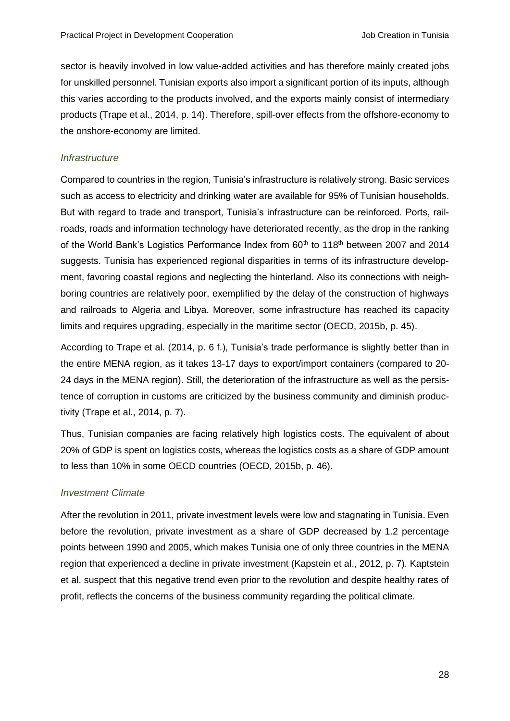sector is heavily involved in low value-added activities and has therefore mainly created jobs for unskilled personnel. Tunisian exports also import a significant portion of its inputs, although this varies according to the products involved, and the exports mainly consist of intermediary products (Trape et al., 2014, p. 14). Therefore, spill-over effects from the offshore-economy to the onshore-economy are limited.

#### *Infrastructure*

Compared to countries in the region, Tunisia's infrastructure is relatively strong. Basic services such as access to electricity and drinking water are available for 95% of Tunisian households. But with regard to trade and transport, Tunisia's infrastructure can be reinforced. Ports, railroads, roads and information technology have deteriorated recently, as the drop in the ranking of the World Bank's Logistics Performance Index from 60<sup>th</sup> to 118<sup>th</sup> between 2007 and 2014 suggests. Tunisia has experienced regional disparities in terms of its infrastructure development, favoring coastal regions and neglecting the hinterland. Also its connections with neighboring countries are relatively poor, exemplified by the delay of the construction of highways and railroads to Algeria and Libya. Moreover, some infrastructure has reached its capacity limits and requires upgrading, especially in the maritime sector (OECD, 2015b, p. 45).

According to Trape et al. (2014, p. 6 f.), Tunisia's trade performance is slightly better than in the entire MENA region, as it takes 13-17 days to export/import containers (compared to 20- 24 days in the MENA region). Still, the deterioration of the infrastructure as well as the persistence of corruption in customs are criticized by the business community and diminish productivity (Trape et al., 2014, p. 7).

Thus, Tunisian companies are facing relatively high logistics costs. The equivalent of about 20% of GDP is spent on logistics costs, whereas the logistics costs as a share of GDP amount to less than 10% in some OECD countries (OECD, 2015b, p. 46).

### *Investment Climate*

After the revolution in 2011, private investment levels were low and stagnating in Tunisia. Even before the revolution, private investment as a share of GDP decreased by 1.2 percentage points between 1990 and 2005, which makes Tunisia one of only three countries in the MENA region that experienced a decline in private investment (Kapstein et al., 2012, p. 7). Kaptstein et al. suspect that this negative trend even prior to the revolution and despite healthy rates of profit, reflects the concerns of the business community regarding the political climate.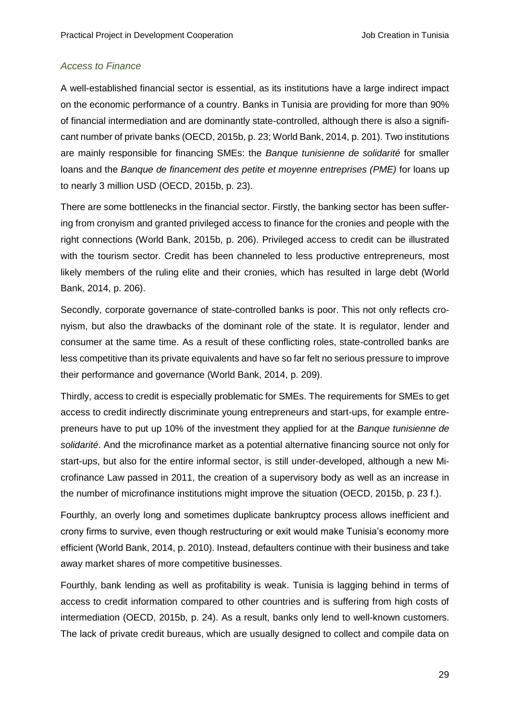#### *Access to Finance*

A well-established financial sector is essential, as its institutions have a large indirect impact on the economic performance of a country. Banks in Tunisia are providing for more than 90% of financial intermediation and are dominantly state-controlled, although there is also a significant number of private banks (OECD, 2015b, p. 23; World Bank, 2014, p. 201). Two institutions are mainly responsible for financing SMEs: the *Banque tunisienne de solidarité* for smaller loans and the *Banque de financement des petite et moyenne entreprises (PME)* for loans up to nearly 3 million USD (OECD, 2015b, p. 23).

There are some bottlenecks in the financial sector. Firstly, the banking sector has been suffering from cronyism and granted privileged access to finance for the cronies and people with the right connections (World Bank, 2015b, p. 206). Privileged access to credit can be illustrated with the tourism sector. Credit has been channeled to less productive entrepreneurs, most likely members of the ruling elite and their cronies, which has resulted in large debt (World Bank, 2014, p. 206).

Secondly, corporate governance of state-controlled banks is poor. This not only reflects cronyism, but also the drawbacks of the dominant role of the state. It is regulator, lender and consumer at the same time. As a result of these conflicting roles, state-controlled banks are less competitive than its private equivalents and have so far felt no serious pressure to improve their performance and governance (World Bank, 2014, p. 209).

Thirdly, access to credit is especially problematic for SMEs. The requirements for SMEs to get access to credit indirectly discriminate young entrepreneurs and start-ups, for example entrepreneurs have to put up 10% of the investment they applied for at the *Banque tunisienne de solidarité*. And the microfinance market as a potential alternative financing source not only for start-ups, but also for the entire informal sector, is still under-developed, although a new Microfinance Law passed in 2011, the creation of a supervisory body as well as an increase in the number of microfinance institutions might improve the situation (OECD, 2015b, p. 23 f.).

Fourthly, an overly long and sometimes duplicate bankruptcy process allows inefficient and crony firms to survive, even though restructuring or exit would make Tunisia's economy more efficient (World Bank, 2014, p. 2010). Instead, defaulters continue with their business and take away market shares of more competitive businesses.

Fourthly, bank lending as well as profitability is weak. Tunisia is lagging behind in terms of access to credit information compared to other countries and is suffering from high costs of intermediation (OECD, 2015b, p. 24). As a result, banks only lend to well-known customers. The lack of private credit bureaus, which are usually designed to collect and compile data on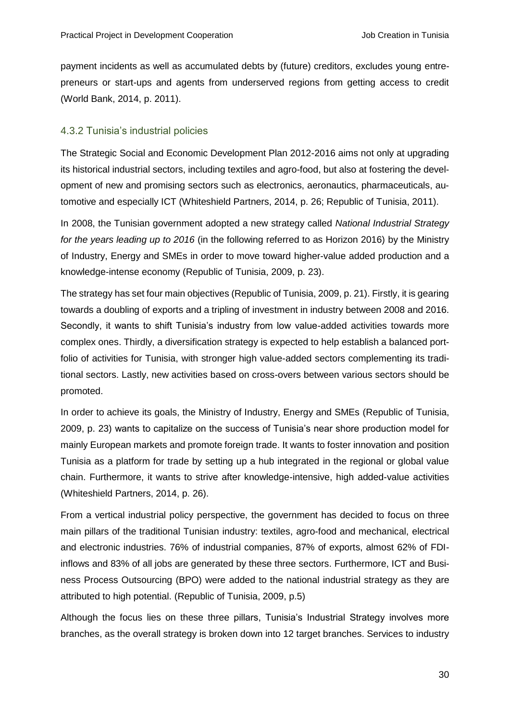payment incidents as well as accumulated debts by (future) creditors, excludes young entrepreneurs or start-ups and agents from underserved regions from getting access to credit (World Bank, 2014, p. 2011).

#### <span id="page-34-0"></span>4.3.2 Tunisia's industrial policies

The Strategic Social and Economic Development Plan 2012-2016 aims not only at upgrading its historical industrial sectors, including textiles and agro-food, but also at fostering the development of new and promising sectors such as electronics, aeronautics, pharmaceuticals, automotive and especially ICT (Whiteshield Partners, 2014, p. 26; Republic of Tunisia, 2011).

In 2008, the Tunisian government adopted a new strategy called *National Industrial Strategy for the years leading up to 2016* (in the following referred to as Horizon 2016) by the Ministry of Industry, Energy and SMEs in order to move toward higher-value added production and a knowledge-intense economy (Republic of Tunisia, 2009, p. 23).

The strategy has set four main objectives (Republic of Tunisia, 2009, p. 21). Firstly, it is gearing towards a doubling of exports and a tripling of investment in industry between 2008 and 2016. Secondly, it wants to shift Tunisia's industry from low value-added activities towards more complex ones. Thirdly, a diversification strategy is expected to help establish a balanced portfolio of activities for Tunisia, with stronger high value-added sectors complementing its traditional sectors. Lastly, new activities based on cross-overs between various sectors should be promoted.

In order to achieve its goals, the Ministry of Industry, Energy and SMEs (Republic of Tunisia, 2009, p. 23) wants to capitalize on the success of Tunisia's near shore production model for mainly European markets and promote foreign trade. It wants to foster innovation and position Tunisia as a platform for trade by setting up a hub integrated in the regional or global value chain. Furthermore, it wants to strive after knowledge-intensive, high added-value activities (Whiteshield Partners, 2014, p. 26).

From a vertical industrial policy perspective, the government has decided to focus on three main pillars of the traditional Tunisian industry: textiles, agro-food and mechanical, electrical and electronic industries. 76% of industrial companies, 87% of exports, almost 62% of FDIinflows and 83% of all jobs are generated by these three sectors. Furthermore, ICT and Business Process Outsourcing (BPO) were added to the national industrial strategy as they are attributed to high potential. (Republic of Tunisia, 2009, p.5)

Although the focus lies on these three pillars, Tunisia's Industrial Strategy involves more branches, as the overall strategy is broken down into 12 target branches. Services to industry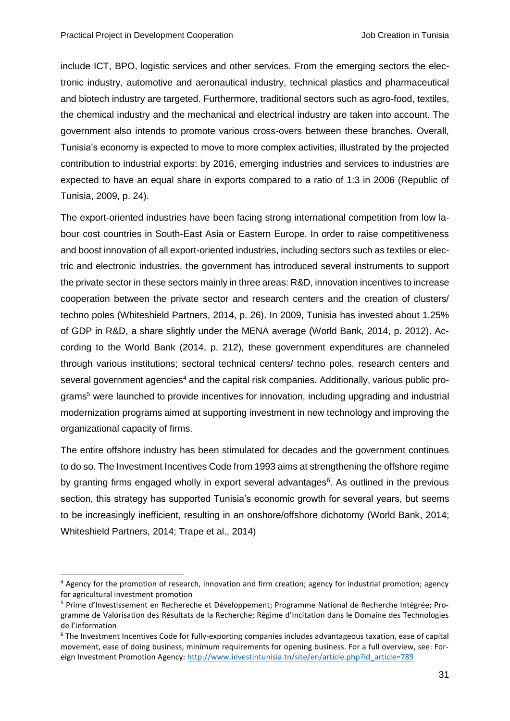-

include ICT, BPO, logistic services and other services. From the emerging sectors the electronic industry, automotive and aeronautical industry, technical plastics and pharmaceutical and biotech industry are targeted. Furthermore, traditional sectors such as agro-food, textiles, the chemical industry and the mechanical and electrical industry are taken into account. The government also intends to promote various cross-overs between these branches. Overall, Tunisia's economy is expected to move to more complex activities, illustrated by the projected contribution to industrial exports: by 2016, emerging industries and services to industries are expected to have an equal share in exports compared to a ratio of 1:3 in 2006 (Republic of Tunisia, 2009, p. 24).

The export-oriented industries have been facing strong international competition from low labour cost countries in South-East Asia or Eastern Europe. In order to raise competitiveness and boost innovation of all export-oriented industries, including sectors such as textiles or electric and electronic industries, the government has introduced several instruments to support the private sector in these sectors mainly in three areas: R&D, innovation incentives to increase cooperation between the private sector and research centers and the creation of clusters/ techno poles (Whiteshield Partners, 2014, p. 26). In 2009, Tunisia has invested about 1.25% of GDP in R&D, a share slightly under the MENA average (World Bank, 2014, p. 2012). According to the World Bank (2014, p. 212), these government expenditures are channeled through various institutions; sectoral technical centers/ techno poles, research centers and several government agencies<sup>4</sup> and the capital risk companies. Additionally, various public programs<sup>5</sup> were launched to provide incentives for innovation, including upgrading and industrial modernization programs aimed at supporting investment in new technology and improving the organizational capacity of firms.

The entire offshore industry has been stimulated for decades and the government continues to do so. The Investment Incentives Code from 1993 aims at strengthening the offshore regime by granting firms engaged wholly in export several advantages<sup>6</sup>. As outlined in the previous section, this strategy has supported Tunisia's economic growth for several years, but seems to be increasingly inefficient, resulting in an onshore/offshore dichotomy (World Bank, 2014; Whiteshield Partners, 2014; Trape et al., 2014)

<sup>4</sup> Agency for the promotion of research, innovation and firm creation; agency for industrial promotion; agency for agricultural investment promotion

<sup>5</sup> Prime d'Investissement en Rechereche et Développement; Programme National de Recherche Intégrée; Programme de Valorisation des Résultats de la Recherche; Régime d'Incitation dans le Domaine des Technologies de l'information

<sup>6</sup> The Investment Incentives Code for fully-exporting companies includes advantageous taxation, ease of capital movement, ease of doing business, minimum requirements for opening business. For a full overview, see: For-eign Investment Promotion Agency[: http://www.investintunisia.tn/site/en/article.php?id\\_article=789](http://www.investintunisia.tn/site/en/article.php?id_article=789)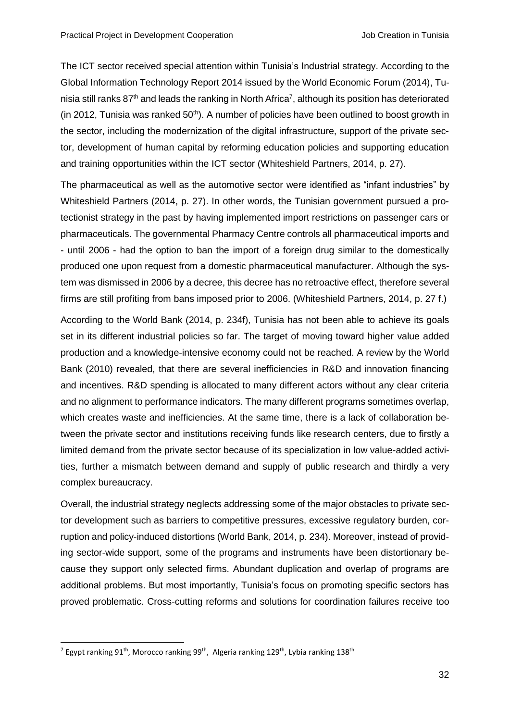The ICT sector received special attention within Tunisia's Industrial strategy. According to the Global Information Technology Report 2014 issued by the World Economic Forum (2014), Tunisia still ranks 87<sup>th</sup> and leads the ranking in North Africa<sup>7</sup>, although its position has deteriorated (in 2012, Tunisia was ranked  $50<sup>th</sup>$ ). A number of policies have been outlined to boost growth in the sector, including the modernization of the digital infrastructure, support of the private sector, development of human capital by reforming education policies and supporting education and training opportunities within the ICT sector (Whiteshield Partners, 2014, p. 27).

The pharmaceutical as well as the automotive sector were identified as "infant industries" by Whiteshield Partners (2014, p. 27). In other words, the Tunisian government pursued a protectionist strategy in the past by having implemented import restrictions on passenger cars or pharmaceuticals. The governmental Pharmacy Centre controls all pharmaceutical imports and - until 2006 - had the option to ban the import of a foreign drug similar to the domestically produced one upon request from a domestic pharmaceutical manufacturer. Although the system was dismissed in 2006 by a decree, this decree has no retroactive effect, therefore several firms are still profiting from bans imposed prior to 2006. (Whiteshield Partners, 2014, p. 27 f.)

According to the World Bank (2014, p. 234f), Tunisia has not been able to achieve its goals set in its different industrial policies so far. The target of moving toward higher value added production and a knowledge-intensive economy could not be reached. A review by the World Bank (2010) revealed, that there are several inefficiencies in R&D and innovation financing and incentives. R&D spending is allocated to many different actors without any clear criteria and no alignment to performance indicators. The many different programs sometimes overlap, which creates waste and inefficiencies. At the same time, there is a lack of collaboration between the private sector and institutions receiving funds like research centers, due to firstly a limited demand from the private sector because of its specialization in low value-added activities, further a mismatch between demand and supply of public research and thirdly a very complex bureaucracy.

Overall, the industrial strategy neglects addressing some of the major obstacles to private sector development such as barriers to competitive pressures, excessive regulatory burden, corruption and policy-induced distortions (World Bank, 2014, p. 234). Moreover, instead of providing sector-wide support, some of the programs and instruments have been distortionary because they support only selected firms. Abundant duplication and overlap of programs are additional problems. But most importantly, Tunisia's focus on promoting specific sectors has proved problematic. Cross-cutting reforms and solutions for coordination failures receive too

-

<sup>&</sup>lt;sup>7</sup> Egypt ranking 91<sup>th</sup>, Morocco ranking 99<sup>th</sup>, Algeria ranking 129<sup>th</sup>, Lybia ranking 138<sup>th</sup>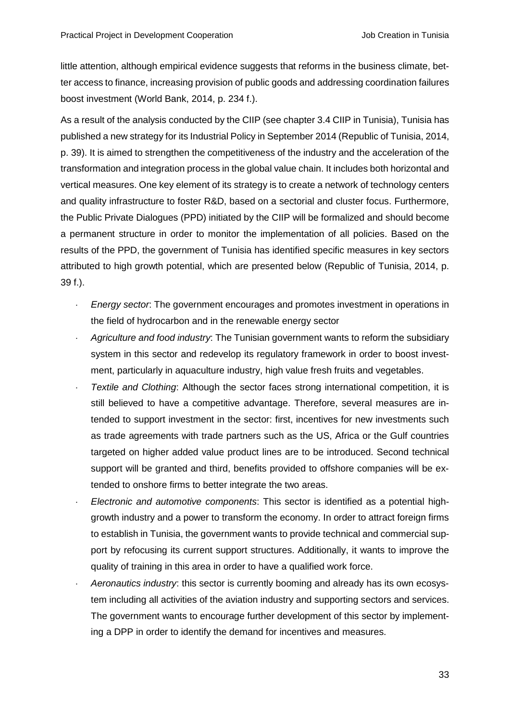little attention, although empirical evidence suggests that reforms in the business climate, better access to finance, increasing provision of public goods and addressing coordination failures boost investment (World Bank, 2014, p. 234 f.).

As a result of the analysis conducted by the CIIP (see chapter 3.4 CIIP in Tunisia), Tunisia has published a new strategy for its Industrial Policy in September 2014 (Republic of Tunisia, 2014, p. 39). It is aimed to strengthen the competitiveness of the industry and the acceleration of the transformation and integration process in the global value chain. It includes both horizontal and vertical measures. One key element of its strategy is to create a network of technology centers and quality infrastructure to foster R&D, based on a sectorial and cluster focus. Furthermore, the Public Private Dialogues (PPD) initiated by the CIIP will be formalized and should become a permanent structure in order to monitor the implementation of all policies. Based on the results of the PPD, the government of Tunisia has identified specific measures in key sectors attributed to high growth potential, which are presented below (Republic of Tunisia, 2014, p. 39 f.).

- *Energy sector*: The government encourages and promotes investment in operations in the field of hydrocarbon and in the renewable energy sector
- *Agriculture and food industry*: The Tunisian government wants to reform the subsidiary system in this sector and redevelop its regulatory framework in order to boost investment, particularly in aquaculture industry, high value fresh fruits and vegetables.
- *Textile and Clothing*: Although the sector faces strong international competition, it is still believed to have a competitive advantage. Therefore, several measures are intended to support investment in the sector: first, incentives for new investments such as trade agreements with trade partners such as the US, Africa or the Gulf countries targeted on higher added value product lines are to be introduced. Second technical support will be granted and third, benefits provided to offshore companies will be extended to onshore firms to better integrate the two areas.
- *Electronic and automotive components*: This sector is identified as a potential highgrowth industry and a power to transform the economy. In order to attract foreign firms to establish in Tunisia, the government wants to provide technical and commercial support by refocusing its current support structures. Additionally, it wants to improve the quality of training in this area in order to have a qualified work force.
- *Aeronautics industry*: this sector is currently booming and already has its own ecosystem including all activities of the aviation industry and supporting sectors and services. The government wants to encourage further development of this sector by implementing a DPP in order to identify the demand for incentives and measures.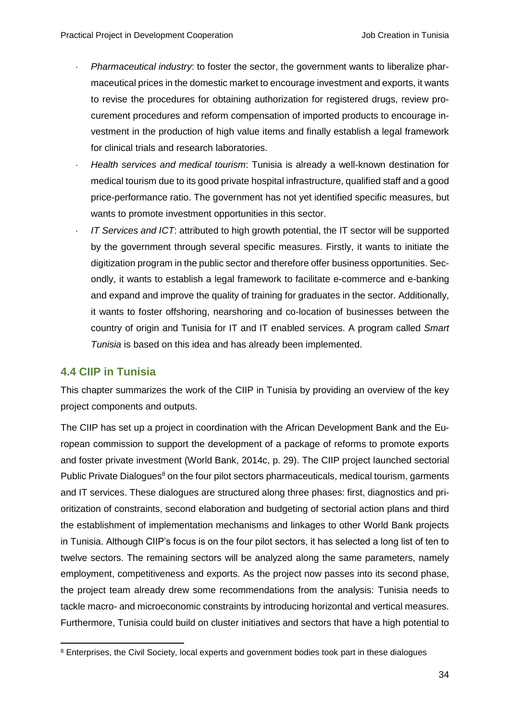- *Pharmaceutical industry*: to foster the sector, the government wants to liberalize pharmaceutical prices in the domestic market to encourage investment and exports, it wants to revise the procedures for obtaining authorization for registered drugs, review procurement procedures and reform compensation of imported products to encourage investment in the production of high value items and finally establish a legal framework for clinical trials and research laboratories.
- *Health services and medical tourism*: Tunisia is already a well-known destination for medical tourism due to its good private hospital infrastructure, qualified staff and a good price-performance ratio. The government has not yet identified specific measures, but wants to promote investment opportunities in this sector.
- *IT Services and ICT*: attributed to high growth potential, the IT sector will be supported by the government through several specific measures. Firstly, it wants to initiate the digitization program in the public sector and therefore offer business opportunities. Secondly, it wants to establish a legal framework to facilitate e-commerce and e-banking and expand and improve the quality of training for graduates in the sector. Additionally, it wants to foster offshoring, nearshoring and co-location of businesses between the country of origin and Tunisia for IT and IT enabled services. A program called *Smart Tunisia* is based on this idea and has already been implemented.

### <span id="page-38-0"></span>**4.4 CIIP in Tunisia**

This chapter summarizes the work of the CIIP in Tunisia by providing an overview of the key project components and outputs.

The CIIP has set up a project in coordination with the African Development Bank and the European commission to support the development of a package of reforms to promote exports and foster private investment (World Bank, 2014c, p. 29). The CIIP project launched sectorial Public Private Dialogues<sup>8</sup> on the four pilot sectors pharmaceuticals, medical tourism, garments and IT services. These dialogues are structured along three phases: first, diagnostics and prioritization of constraints, second elaboration and budgeting of sectorial action plans and third the establishment of implementation mechanisms and linkages to other World Bank projects in Tunisia. Although CIIP's focus is on the four pilot sectors, it has selected a long list of ten to twelve sectors. The remaining sectors will be analyzed along the same parameters, namely employment, competitiveness and exports. As the project now passes into its second phase, the project team already drew some recommendations from the analysis: Tunisia needs to tackle macro- and microeconomic constraints by introducing horizontal and vertical measures. Furthermore, Tunisia could build on cluster initiatives and sectors that have a high potential to

<sup>1</sup> <sup>8</sup> Enterprises, the Civil Society, local experts and government bodies took part in these dialogues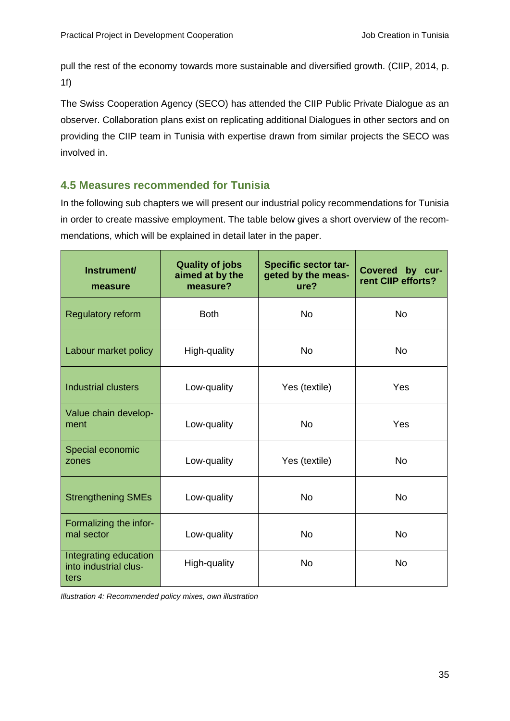pull the rest of the economy towards more sustainable and diversified growth. (CIIP, 2014, p. 1f)

The Swiss Cooperation Agency (SECO) has attended the CIIP Public Private Dialogue as an observer. Collaboration plans exist on replicating additional Dialogues in other sectors and on providing the CIIP team in Tunisia with expertise drawn from similar projects the SECO was involved in.

# <span id="page-39-0"></span>**4.5 Measures recommended for Tunisia**

In the following sub chapters we will present our industrial policy recommendations for Tunisia in order to create massive employment. The table below gives a short overview of the recommendations, which will be explained in detail later in the paper.

| Instrument/<br>measure                                 | <b>Quality of jobs</b><br>aimed at by the<br>measure? | <b>Specific sector tar-</b><br>geted by the meas-<br>ure? | <b>Covered</b><br>by cur-<br>rent CIIP efforts? |
|--------------------------------------------------------|-------------------------------------------------------|-----------------------------------------------------------|-------------------------------------------------|
| <b>Regulatory reform</b>                               | <b>Both</b>                                           | <b>No</b>                                                 | <b>No</b>                                       |
| Labour market policy                                   | High-quality                                          | <b>No</b>                                                 | <b>No</b>                                       |
| <b>Industrial clusters</b>                             | Low-quality                                           | Yes (textile)                                             | Yes                                             |
| Value chain develop-<br>ment                           | Low-quality                                           | <b>No</b>                                                 | Yes                                             |
| Special economic<br>zones                              | Low-quality                                           | Yes (textile)                                             | <b>No</b>                                       |
| <b>Strengthening SMEs</b>                              | Low-quality                                           | <b>No</b>                                                 | <b>No</b>                                       |
| Formalizing the infor-<br>mal sector                   | Low-quality                                           | <b>No</b>                                                 | <b>No</b>                                       |
| Integrating education<br>into industrial clus-<br>ters | High-quality                                          | <b>No</b>                                                 | <b>No</b>                                       |

<span id="page-39-1"></span>*Illustration 4: Recommended policy mixes, own illustration*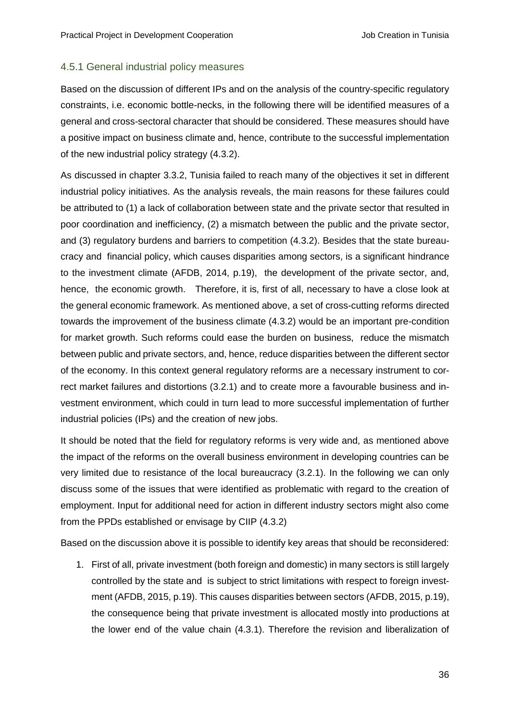#### <span id="page-40-0"></span>4.5.1 General industrial policy measures

Based on the discussion of different IPs and on the analysis of the country-specific regulatory constraints, i.e. economic bottle-necks, in the following there will be identified measures of a general and cross-sectoral character that should be considered. These measures should have a positive impact on business climate and, hence, contribute to the successful implementation of the new industrial policy strategy (4.3.2).

As discussed in chapter 3.3.2, Tunisia failed to reach many of the objectives it set in different industrial policy initiatives. As the analysis reveals, the main reasons for these failures could be attributed to (1) a lack of collaboration between state and the private sector that resulted in poor coordination and inefficiency, (2) a mismatch between the public and the private sector, and (3) regulatory burdens and barriers to competition (4.3.2). Besides that the state bureaucracy and financial policy, which causes disparities among sectors, is a significant hindrance to the investment climate (AFDB, 2014, p.19), the development of the private sector, and, hence, the economic growth. Therefore, it is, first of all, necessary to have a close look at the general economic framework. As mentioned above, a set of cross-cutting reforms directed towards the improvement of the business climate (4.3.2) would be an important pre-condition for market growth. Such reforms could ease the burden on business, reduce the mismatch between public and private sectors, and, hence, reduce disparities between the different sector of the economy. In this context general regulatory reforms are a necessary instrument to correct market failures and distortions (3.2.1) and to create more a favourable business and investment environment, which could in turn lead to more successful implementation of further industrial policies (IPs) and the creation of new jobs.

It should be noted that the field for regulatory reforms is very wide and, as mentioned above the impact of the reforms on the overall business environment in developing countries can be very limited due to resistance of the local bureaucracy (3.2.1). In the following we can only discuss some of the issues that were identified as problematic with regard to the creation of employment. Input for additional need for action in different industry sectors might also come from the PPDs established or envisage by CIIP (4.3.2)

Based on the discussion above it is possible to identify key areas that should be reconsidered:

1. First of all, private investment (both foreign and domestic) in many sectors is still largely controlled by the state and is subject to strict limitations with respect to foreign investment (AFDB, 2015, p.19). This causes disparities between sectors (AFDB, 2015, p.19), the consequence being that private investment is allocated mostly into productions at the lower end of the value chain (4.3.1). Therefore the revision and liberalization of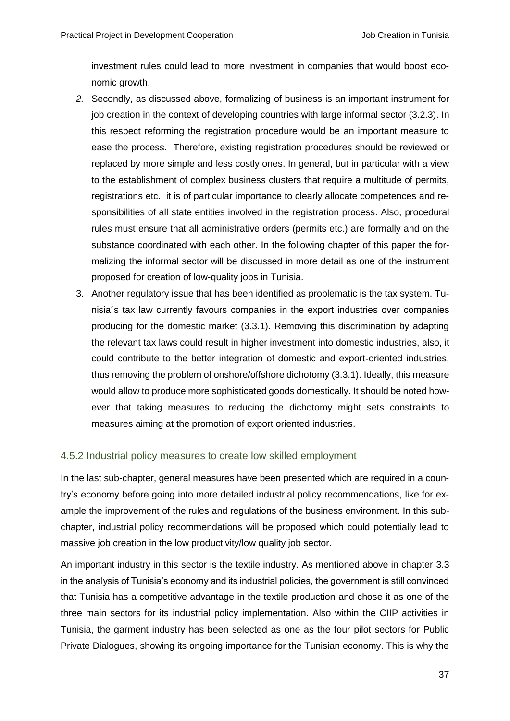investment rules could lead to more investment in companies that would boost economic growth.

- *2.* Secondly, as discussed above, formalizing of business is an important instrument for job creation in the context of developing countries with large informal sector (3.2.3). In this respect reforming the registration procedure would be an important measure to ease the process. Therefore, existing registration procedures should be reviewed or replaced by more simple and less costly ones. In general, but in particular with a view to the establishment of complex business clusters that require a multitude of permits, registrations etc., it is of particular importance to clearly allocate competences and responsibilities of all state entities involved in the registration process. Also, procedural rules must ensure that all administrative orders (permits etc.) are formally and on the substance coordinated with each other. In the following chapter of this paper the formalizing the informal sector will be discussed in more detail as one of the instrument proposed for creation of low-quality jobs in Tunisia.
- 3. Another regulatory issue that has been identified as problematic is the tax system. Tunisia´s tax law currently favours companies in the export industries over companies producing for the domestic market (3.3.1). Removing this discrimination by adapting the relevant tax laws could result in higher investment into domestic industries, also, it could contribute to the better integration of domestic and export-oriented industries, thus removing the problem of onshore/offshore dichotomy (3.3.1). Ideally, this measure would allow to produce more sophisticated goods domestically. It should be noted however that taking measures to reducing the dichotomy might sets constraints to measures aiming at the promotion of export oriented industries.

#### <span id="page-41-0"></span>4.5.2 Industrial policy measures to create low skilled employment

In the last sub-chapter, general measures have been presented which are required in a country's economy before going into more detailed industrial policy recommendations, like for example the improvement of the rules and regulations of the business environment. In this subchapter, industrial policy recommendations will be proposed which could potentially lead to massive job creation in the low productivity/low quality job sector.

An important industry in this sector is the textile industry. As mentioned above in chapter 3.3 in the analysis of Tunisia's economy and its industrial policies, the government is still convinced that Tunisia has a competitive advantage in the textile production and chose it as one of the three main sectors for its industrial policy implementation. Also within the CIIP activities in Tunisia, the garment industry has been selected as one as the four pilot sectors for Public Private Dialogues, showing its ongoing importance for the Tunisian economy. This is why the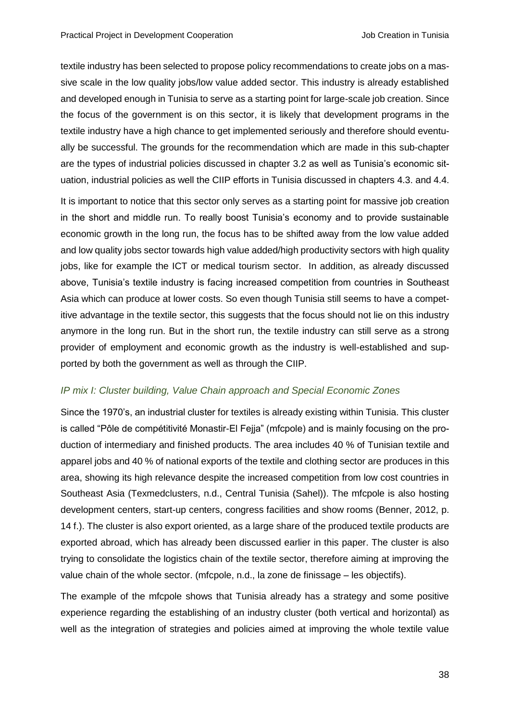textile industry has been selected to propose policy recommendations to create jobs on a massive scale in the low quality jobs/low value added sector. This industry is already established and developed enough in Tunisia to serve as a starting point for large-scale job creation. Since the focus of the government is on this sector, it is likely that development programs in the textile industry have a high chance to get implemented seriously and therefore should eventually be successful. The grounds for the recommendation which are made in this sub-chapter are the types of industrial policies discussed in chapter 3.2 as well as Tunisia's economic situation, industrial policies as well the CIIP efforts in Tunisia discussed in chapters 4.3. and 4.4.

It is important to notice that this sector only serves as a starting point for massive job creation in the short and middle run. To really boost Tunisia's economy and to provide sustainable economic growth in the long run, the focus has to be shifted away from the low value added and low quality jobs sector towards high value added/high productivity sectors with high quality jobs, like for example the ICT or medical tourism sector. In addition, as already discussed above, Tunisia's textile industry is facing increased competition from countries in Southeast Asia which can produce at lower costs. So even though Tunisia still seems to have a competitive advantage in the textile sector, this suggests that the focus should not lie on this industry anymore in the long run. But in the short run, the textile industry can still serve as a strong provider of employment and economic growth as the industry is well-established and supported by both the government as well as through the CIIP.

#### *IP mix I: Cluster building, Value Chain approach and Special Economic Zones*

Since the 1970's, an industrial cluster for textiles is already existing within Tunisia. This cluster is called "Pôle de compétitivité Monastir-El Fejja" (mfcpole) and is mainly focusing on the production of intermediary and finished products. The area includes 40 % of Tunisian textile and apparel jobs and 40 % of national exports of the textile and clothing sector are produces in this area, showing its high relevance despite the increased competition from low cost countries in Southeast Asia (Texmedclusters, n.d., Central Tunisia (Sahel)). The mfcpole is also hosting development centers, start-up centers, congress facilities and show rooms (Benner, 2012, p. 14 f.). The cluster is also export oriented, as a large share of the produced textile products are exported abroad, which has already been discussed earlier in this paper. The cluster is also trying to consolidate the logistics chain of the textile sector, therefore aiming at improving the value chain of the whole sector. (mfcpole, n.d., la zone de finissage – les objectifs).

The example of the mfcpole shows that Tunisia already has a strategy and some positive experience regarding the establishing of an industry cluster (both vertical and horizontal) as well as the integration of strategies and policies aimed at improving the whole textile value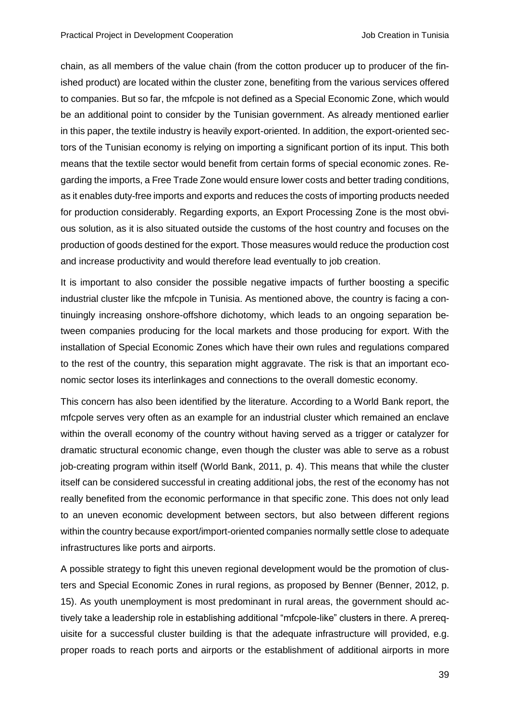chain, as all members of the value chain (from the cotton producer up to producer of the finished product) are located within the cluster zone, benefiting from the various services offered to companies. But so far, the mfcpole is not defined as a Special Economic Zone, which would be an additional point to consider by the Tunisian government. As already mentioned earlier in this paper, the textile industry is heavily export-oriented. In addition, the export-oriented sectors of the Tunisian economy is relying on importing a significant portion of its input. This both means that the textile sector would benefit from certain forms of special economic zones. Regarding the imports, a Free Trade Zone would ensure lower costs and better trading conditions, as it enables duty-free imports and exports and reduces the costs of importing products needed for production considerably. Regarding exports, an Export Processing Zone is the most obvious solution, as it is also situated outside the customs of the host country and focuses on the production of goods destined for the export. Those measures would reduce the production cost and increase productivity and would therefore lead eventually to job creation.

It is important to also consider the possible negative impacts of further boosting a specific industrial cluster like the mfcpole in Tunisia. As mentioned above, the country is facing a continuingly increasing onshore-offshore dichotomy, which leads to an ongoing separation between companies producing for the local markets and those producing for export. With the installation of Special Economic Zones which have their own rules and regulations compared to the rest of the country, this separation might aggravate. The risk is that an important economic sector loses its interlinkages and connections to the overall domestic economy.

This concern has also been identified by the literature. According to a World Bank report, the mfcpole serves very often as an example for an industrial cluster which remained an enclave within the overall economy of the country without having served as a trigger or catalyzer for dramatic structural economic change, even though the cluster was able to serve as a robust job-creating program within itself (World Bank, 2011, p. 4). This means that while the cluster itself can be considered successful in creating additional jobs, the rest of the economy has not really benefited from the economic performance in that specific zone. This does not only lead to an uneven economic development between sectors, but also between different regions within the country because export/import-oriented companies normally settle close to adequate infrastructures like ports and airports.

A possible strategy to fight this uneven regional development would be the promotion of clusters and Special Economic Zones in rural regions, as proposed by Benner (Benner, 2012, p. 15). As youth unemployment is most predominant in rural areas, the government should actively take a leadership role in establishing additional "mfcpole-like" clusters in there. A prerequisite for a successful cluster building is that the adequate infrastructure will provided, e.g. proper roads to reach ports and airports or the establishment of additional airports in more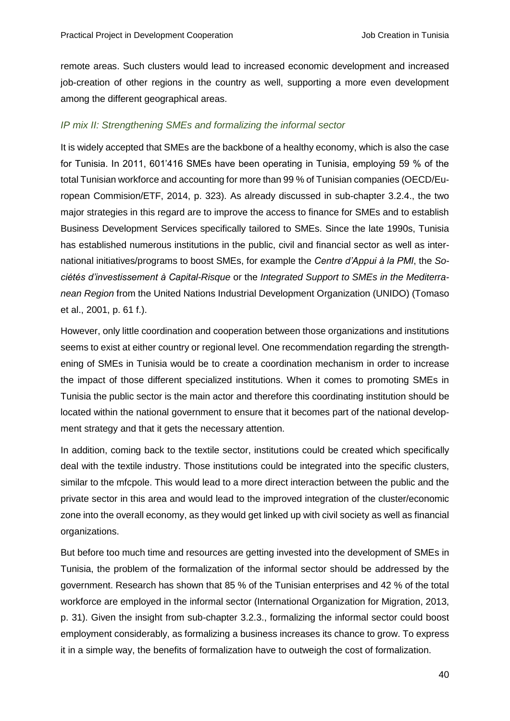remote areas. Such clusters would lead to increased economic development and increased job-creation of other regions in the country as well, supporting a more even development among the different geographical areas.

#### *IP mix II: Strengthening SMEs and formalizing the informal sector*

It is widely accepted that SMEs are the backbone of a healthy economy, which is also the case for Tunisia. In 2011, 601'416 SMEs have been operating in Tunisia, employing 59 % of the total Tunisian workforce and accounting for more than 99 % of Tunisian companies (OECD/European Commision/ETF, 2014, p. 323). As already discussed in sub-chapter 3.2.4., the two major strategies in this regard are to improve the access to finance for SMEs and to establish Business Development Services specifically tailored to SMEs. Since the late 1990s, Tunisia has established numerous institutions in the public, civil and financial sector as well as international initiatives/programs to boost SMEs, for example the *Centre d'Appui à la PMI*, the *Sociétés d'investissement à Capital-Risque* or the *Integrated Support to SMEs in the Mediterranean Region* from the United Nations Industrial Development Organization (UNIDO) (Tomaso et al., 2001, p. 61 f.).

However, only little coordination and cooperation between those organizations and institutions seems to exist at either country or regional level. One recommendation regarding the strengthening of SMEs in Tunisia would be to create a coordination mechanism in order to increase the impact of those different specialized institutions. When it comes to promoting SMEs in Tunisia the public sector is the main actor and therefore this coordinating institution should be located within the national government to ensure that it becomes part of the national development strategy and that it gets the necessary attention.

In addition, coming back to the textile sector, institutions could be created which specifically deal with the textile industry. Those institutions could be integrated into the specific clusters, similar to the mfcpole. This would lead to a more direct interaction between the public and the private sector in this area and would lead to the improved integration of the cluster/economic zone into the overall economy, as they would get linked up with civil society as well as financial organizations.

But before too much time and resources are getting invested into the development of SMEs in Tunisia, the problem of the formalization of the informal sector should be addressed by the government. Research has shown that 85 % of the Tunisian enterprises and 42 % of the total workforce are employed in the informal sector (International Organization for Migration, 2013, p. 31). Given the insight from sub-chapter 3.2.3., formalizing the informal sector could boost employment considerably, as formalizing a business increases its chance to grow. To express it in a simple way, the benefits of formalization have to outweigh the cost of formalization.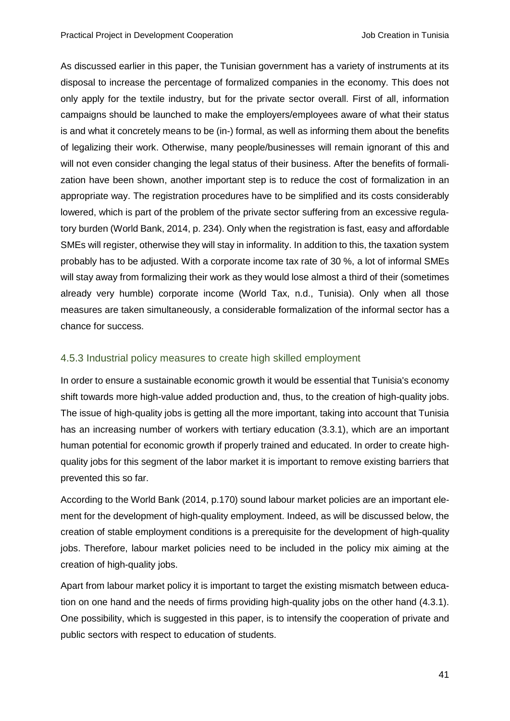As discussed earlier in this paper, the Tunisian government has a variety of instruments at its disposal to increase the percentage of formalized companies in the economy. This does not only apply for the textile industry, but for the private sector overall. First of all, information campaigns should be launched to make the employers/employees aware of what their status is and what it concretely means to be (in-) formal, as well as informing them about the benefits of legalizing their work. Otherwise, many people/businesses will remain ignorant of this and will not even consider changing the legal status of their business. After the benefits of formalization have been shown, another important step is to reduce the cost of formalization in an appropriate way. The registration procedures have to be simplified and its costs considerably lowered, which is part of the problem of the private sector suffering from an excessive regulatory burden (World Bank, 2014, p. 234). Only when the registration is fast, easy and affordable SMEs will register, otherwise they will stay in informality. In addition to this, the taxation system probably has to be adjusted. With a corporate income tax rate of 30 %, a lot of informal SMEs will stay away from formalizing their work as they would lose almost a third of their (sometimes already very humble) corporate income (World Tax, n.d., Tunisia). Only when all those measures are taken simultaneously, a considerable formalization of the informal sector has a chance for success.

#### <span id="page-45-0"></span>4.5.3 Industrial policy measures to create high skilled employment

In order to ensure a sustainable economic growth it would be essential that Tunisia's economy shift towards more high-value added production and, thus, to the creation of high-quality jobs. The issue of high-quality jobs is getting all the more important, taking into account that Tunisia has an increasing number of workers with tertiary education (3.3.1), which are an important human potential for economic growth if properly trained and educated. In order to create highquality jobs for this segment of the labor market it is important to remove existing barriers that prevented this so far.

According to the World Bank (2014, p.170) sound labour market policies are an important element for the development of high-quality employment. Indeed, as will be discussed below, the creation of stable employment conditions is a prerequisite for the development of high-quality jobs. Therefore, labour market policies need to be included in the policy mix aiming at the creation of high-quality jobs.

Apart from labour market policy it is important to target the existing mismatch between education on one hand and the needs of firms providing high-quality jobs on the other hand (4.3.1). One possibility, which is suggested in this paper, is to intensify the cooperation of private and public sectors with respect to education of students.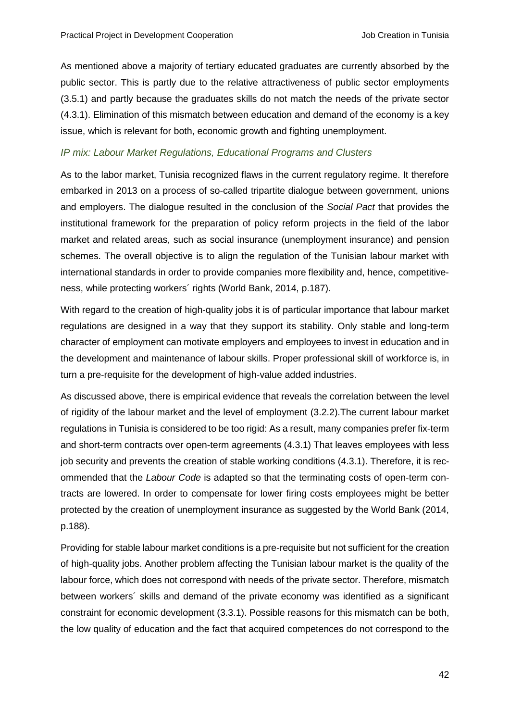As mentioned above a majority of tertiary educated graduates are currently absorbed by the public sector. This is partly due to the relative attractiveness of public sector employments (3.5.1) and partly because the graduates skills do not match the needs of the private sector (4.3.1). Elimination of this mismatch between education and demand of the economy is a key issue, which is relevant for both, economic growth and fighting unemployment.

#### *IP mix: Labour Market Regulations, Educational Programs and Clusters*

As to the labor market, Tunisia recognized flaws in the current regulatory regime. It therefore embarked in 2013 on a process of so-called tripartite dialogue between government, unions and employers. The dialogue resulted in the conclusion of the *Social Pact* that provides the institutional framework for the preparation of policy reform projects in the field of the labor market and related areas, such as social insurance (unemployment insurance) and pension schemes. The overall objective is to align the regulation of the Tunisian labour market with international standards in order to provide companies more flexibility and, hence, competitiveness, while protecting workers´ rights (World Bank, 2014, p.187).

With regard to the creation of high-quality jobs it is of particular importance that labour market regulations are designed in a way that they support its stability. Only stable and long-term character of employment can motivate employers and employees to invest in education and in the development and maintenance of labour skills. Proper professional skill of workforce is, in turn a pre-requisite for the development of high-value added industries.

As discussed above, there is empirical evidence that reveals the correlation between the level of rigidity of the labour market and the level of employment (3.2.2).The current labour market regulations in Tunisia is considered to be too rigid: As a result, many companies prefer fix-term and short-term contracts over open-term agreements (4.3.1) That leaves employees with less job security and prevents the creation of stable working conditions (4.3.1). Therefore, it is recommended that the *Labour Code* is adapted so that the terminating costs of open-term contracts are lowered. In order to compensate for lower firing costs employees might be better protected by the creation of unemployment insurance as suggested by the World Bank (2014, p.188).

Providing for stable labour market conditions is a pre-requisite but not sufficient for the creation of high-quality jobs. Another problem affecting the Tunisian labour market is the quality of the labour force, which does not correspond with needs of the private sector. Therefore, mismatch between workers´ skills and demand of the private economy was identified as a significant constraint for economic development (3.3.1). Possible reasons for this mismatch can be both, the low quality of education and the fact that acquired competences do not correspond to the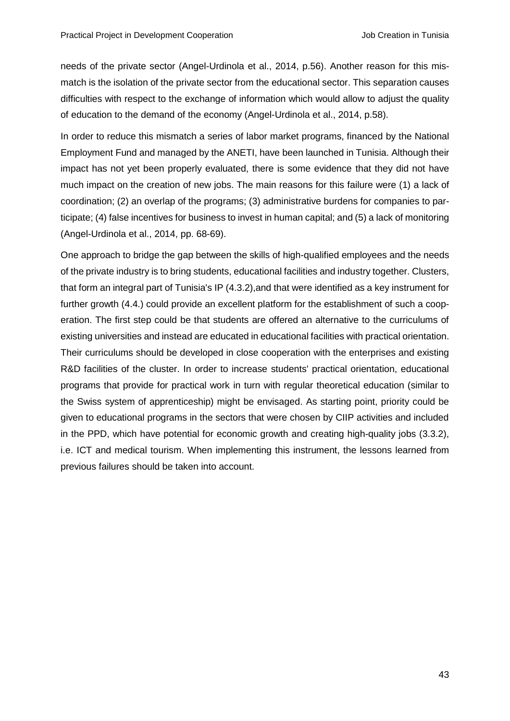needs of the private sector (Angel-Urdinola et al., 2014, p.56). Another reason for this mismatch is the isolation of the private sector from the educational sector. This separation causes difficulties with respect to the exchange of information which would allow to adjust the quality of education to the demand of the economy (Angel-Urdinola et al., 2014, p.58).

In order to reduce this mismatch a series of labor market programs, financed by the National Employment Fund and managed by the ANETI, have been launched in Tunisia. Although their impact has not yet been properly evaluated, there is some evidence that they did not have much impact on the creation of new jobs. The main reasons for this failure were (1) a lack of coordination; (2) an overlap of the programs; (3) administrative burdens for companies to participate; (4) false incentives for business to invest in human capital; and (5) a lack of monitoring (Angel-Urdinola et al., 2014, pp. 68-69).

One approach to bridge the gap between the skills of high-qualified employees and the needs of the private industry is to bring students, educational facilities and industry together. Clusters, that form an integral part of Tunisia's IP (4.3.2),and that were identified as a key instrument for further growth (4.4.) could provide an excellent platform for the establishment of such a cooperation. The first step could be that students are offered an alternative to the curriculums of existing universities and instead are educated in educational facilities with practical orientation. Their curriculums should be developed in close cooperation with the enterprises and existing R&D facilities of the cluster. In order to increase students' practical orientation, educational programs that provide for practical work in turn with regular theoretical education (similar to the Swiss system of apprenticeship) might be envisaged. As starting point, priority could be given to educational programs in the sectors that were chosen by CIIP activities and included in the PPD, which have potential for economic growth and creating high-quality jobs (3.3.2), i.e. ICT and medical tourism. When implementing this instrument, the lessons learned from previous failures should be taken into account.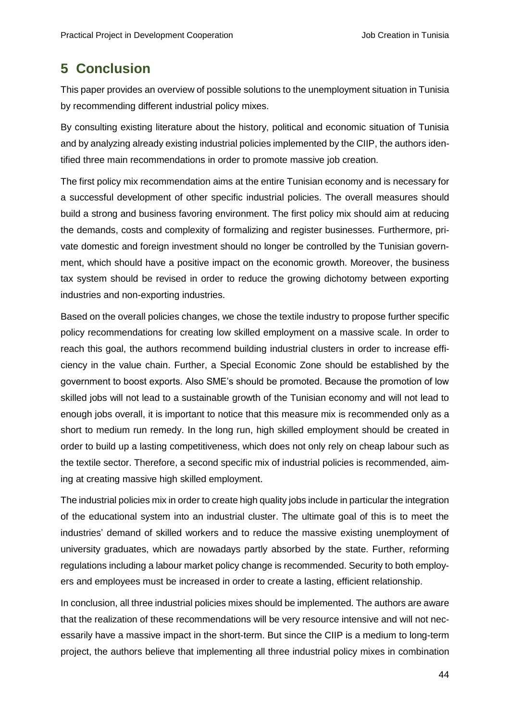# <span id="page-48-0"></span>**5 Conclusion**

This paper provides an overview of possible solutions to the unemployment situation in Tunisia by recommending different industrial policy mixes.

By consulting existing literature about the history, political and economic situation of Tunisia and by analyzing already existing industrial policies implemented by the CIIP, the authors identified three main recommendations in order to promote massive job creation.

The first policy mix recommendation aims at the entire Tunisian economy and is necessary for a successful development of other specific industrial policies. The overall measures should build a strong and business favoring environment. The first policy mix should aim at reducing the demands, costs and complexity of formalizing and register businesses. Furthermore, private domestic and foreign investment should no longer be controlled by the Tunisian government, which should have a positive impact on the economic growth. Moreover, the business tax system should be revised in order to reduce the growing dichotomy between exporting industries and non-exporting industries.

Based on the overall policies changes, we chose the textile industry to propose further specific policy recommendations for creating low skilled employment on a massive scale. In order to reach this goal, the authors recommend building industrial clusters in order to increase efficiency in the value chain. Further, a Special Economic Zone should be established by the government to boost exports. Also SME's should be promoted. Because the promotion of low skilled jobs will not lead to a sustainable growth of the Tunisian economy and will not lead to enough jobs overall, it is important to notice that this measure mix is recommended only as a short to medium run remedy. In the long run, high skilled employment should be created in order to build up a lasting competitiveness, which does not only rely on cheap labour such as the textile sector. Therefore, a second specific mix of industrial policies is recommended, aiming at creating massive high skilled employment.

The industrial policies mix in order to create high quality jobs include in particular the integration of the educational system into an industrial cluster. The ultimate goal of this is to meet the industries' demand of skilled workers and to reduce the massive existing unemployment of university graduates, which are nowadays partly absorbed by the state. Further, reforming regulations including a labour market policy change is recommended. Security to both employers and employees must be increased in order to create a lasting, efficient relationship.

In conclusion, all three industrial policies mixes should be implemented. The authors are aware that the realization of these recommendations will be very resource intensive and will not necessarily have a massive impact in the short-term. But since the CIIP is a medium to long-term project, the authors believe that implementing all three industrial policy mixes in combination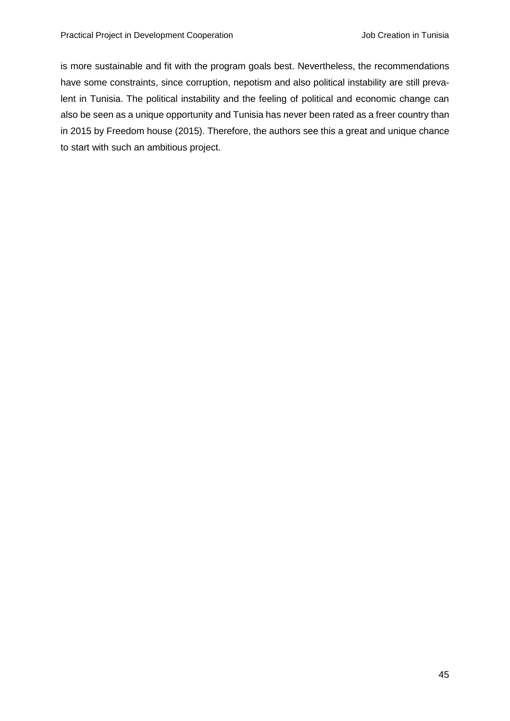is more sustainable and fit with the program goals best. Nevertheless, the recommendations have some constraints, since corruption, nepotism and also political instability are still prevalent in Tunisia. The political instability and the feeling of political and economic change can also be seen as a unique opportunity and Tunisia has never been rated as a freer country than in 2015 by Freedom house (2015). Therefore, the authors see this a great and unique chance to start with such an ambitious project.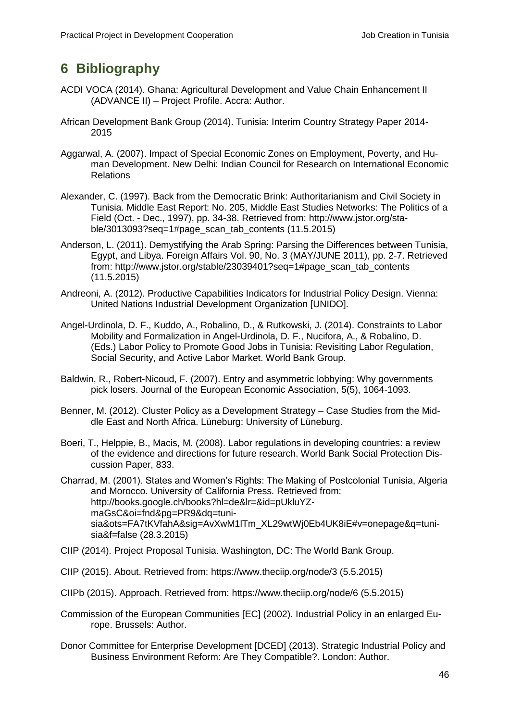# <span id="page-50-0"></span>**6 Bibliography**

- ACDI VOCA (2014). Ghana: Agricultural Development and Value Chain Enhancement II (ADVANCE II) – Project Profile. Accra: Author.
- African Development Bank Group (2014). Tunisia: Interim Country Strategy Paper 2014- 2015
- Aggarwal, A. (2007). Impact of Special Economic Zones on Employment, Poverty, and Human Development. New Delhi: Indian Council for Research on International Economic Relations
- Alexander, C. (1997). Back from the Democratic Brink: Authoritarianism and Civil Society in Tunisia. Middle East Report: No. 205, Middle East Studies Networks: The Politics of a Field (Oct. - Dec., 1997), pp. 34-38. Retrieved from: [http://www.jstor.org/sta](http://www.jstor.org/stable/3013093?seq=1#page_scan_tab_contents)[ble/3013093?seq=1#page\\_scan\\_tab\\_contents](http://www.jstor.org/stable/3013093?seq=1#page_scan_tab_contents) (11.5.2015)
- Anderson, L. (2011). Demystifying the Arab Spring: Parsing the Differences between Tunisia, Egypt, and Libya. Foreign Affairs Vol. 90, No. 3 (MAY/JUNE 2011), pp. 2-7. Retrieved from: [http://www.jstor.org/stable/23039401?seq=1#page\\_scan\\_tab\\_contents](http://www.jstor.org/stable/23039401?seq=1#page_scan_tab_contents) (11.5.2015)
- Andreoni, A. (2012). Productive Capabilities Indicators for Industrial Policy Design. Vienna: United Nations Industrial Development Organization [UNIDO].
- Angel-Urdinola, D. F., Kuddo, A., Robalino, D., & Rutkowski, J. (2014). Constraints to Labor Mobility and Formalization in Angel-Urdinola, D. F., Nucifora, A., & Robalino, D. (Eds.) Labor Policy to Promote Good Jobs in Tunisia: Revisiting Labor Regulation, Social Security, and Active Labor Market. World Bank Group.
- Baldwin, R., Robert-Nicoud, F. (2007). Entry and asymmetric lobbying: Why governments pick losers. Journal of the European Economic Association, 5(5), 1064-1093.
- Benner, M. (2012). Cluster Policy as a Development Strategy Case Studies from the Middle East and North Africa. Lüneburg: University of Lüneburg.
- Boeri, T., Helppie, B., Macis, M. (2008). Labor regulations in developing countries: a review of the evidence and directions for future research. World Bank Social Protection Discussion Paper, 833.
- Charrad, M. (2001). States and Women's Rights: The Making of Postcolonial Tunisia, Algeria and Morocco. University of California Press. Retrieved from: [http://books.google.ch/books?hl=de&lr=&id=pUkluYZ](http://books.google.ch/books?hl=de&lr=&id=pUkluYZmaGsC&oi=fnd&pg=PR9&dq=tunisia&ots=FA7tKVfahA&sig=AvXwM1lTm_XL29wtWj0Eb4UK8iE#v=onepage&q=tunisia&f=false)[maGsC&oi=fnd&pg=PR9&dq=tuni](http://books.google.ch/books?hl=de&lr=&id=pUkluYZmaGsC&oi=fnd&pg=PR9&dq=tunisia&ots=FA7tKVfahA&sig=AvXwM1lTm_XL29wtWj0Eb4UK8iE#v=onepage&q=tunisia&f=false)sia&ots=FA7tKVfahA&sig=AvXwM1ITm\_XL29wtWj0Eb4UK8iE#v=onepage&q=tuni[sia&f=false](http://books.google.ch/books?hl=de&lr=&id=pUkluYZmaGsC&oi=fnd&pg=PR9&dq=tunisia&ots=FA7tKVfahA&sig=AvXwM1lTm_XL29wtWj0Eb4UK8iE#v=onepage&q=tunisia&f=false) (28.3.2015)
- CIIP (2014). Project Proposal Tunisia. Washington, DC: The World Bank Group.
- CIIP (2015). About. Retrieved from:<https://www.theciip.org/node/3> (5.5.2015)
- CIIPb (2015). Approach. Retrieved from:<https://www.theciip.org/node/6> (5.5.2015)
- Commission of the European Communities [EC] (2002). Industrial Policy in an enlarged Europe. Brussels: Author.
- Donor Committee for Enterprise Development [DCED] (2013). Strategic Industrial Policy and Business Environment Reform: Are They Compatible?. London: Author.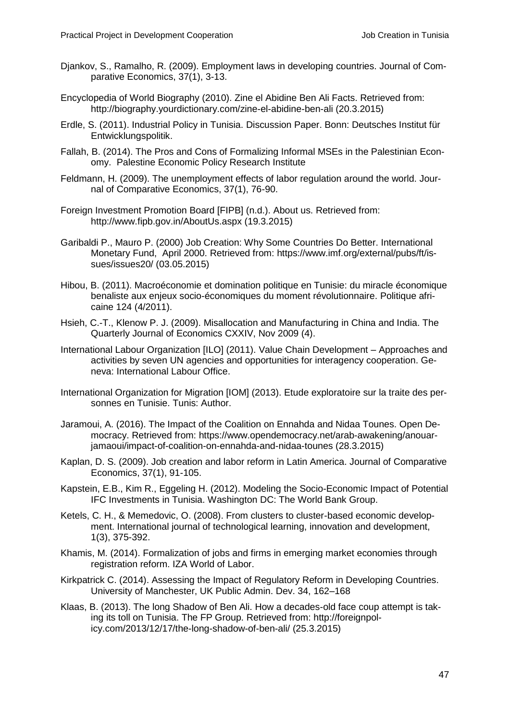- Djankov, S., Ramalho, R. (2009). Employment laws in developing countries. Journal of Comparative Economics, 37(1), 3-13.
- Encyclopedia of World Biography (2010). Zine el Abidine Ben Ali Facts. Retrieved from: <http://biography.yourdictionary.com/zine-el-abidine-ben-ali> (20.3.2015)
- Erdle, S. (2011). Industrial Policy in Tunisia. Discussion Paper. Bonn: Deutsches Institut für Entwicklungspolitik.
- Fallah, B. (2014). The Pros and Cons of Formalizing Informal MSEs in the Palestinian Economy. Palestine Economic Policy Research Institute
- Feldmann, H. (2009). The unemployment effects of labor regulation around the world. Journal of Comparative Economics, 37(1), 76-90.
- Foreign Investment Promotion Board [FIPB] (n.d.). About us. Retrieved from: <http://www.fipb.gov.in/AboutUs.aspx> (19.3.2015)
- Garibaldi P., Mauro P. (2000) Job Creation: Why Some Countries Do Better. International Monetary Fund, April 2000. Retrieved from: [https://www.imf.org/external/pubs/ft/is](https://www.imf.org/external/pubs/ft/issues/issues20/)[sues/issues20/](https://www.imf.org/external/pubs/ft/issues/issues20/) (03.05.2015)
- Hibou, B. (2011). Macroéconomie et domination politique en Tunisie: du miracle économique benaliste aux enjeux socio-économiques du moment révolutionnaire. Politique africaine 124 (4/2011).
- Hsieh, C.-T., Klenow P. J. (2009). Misallocation and Manufacturing in China and India. The Quarterly Journal of Economics CXXIV, Nov 2009 (4).
- International Labour Organization [ILO] (2011). Value Chain Development Approaches and activities by seven UN agencies and opportunities for interagency cooperation. Geneva: International Labour Office.
- International Organization for Migration [IOM] (2013). Etude exploratoire sur la traite des personnes en Tunisie. Tunis: Author.
- Jaramoui, A. (2016). The Impact of the Coalition on Ennahda and Nidaa Tounes. Open Democracy. Retrieved from: [https://www.opendemocracy.net/arab-awakening/anouar](https://www.opendemocracy.net/arab-awakening/anouar-jamaoui/impact-of-coalition-on-ennahda-and-nidaa-tounes)[jamaoui/impact-of-coalition-on-ennahda-and-nidaa-tounes](https://www.opendemocracy.net/arab-awakening/anouar-jamaoui/impact-of-coalition-on-ennahda-and-nidaa-tounes) (28.3.2015)
- Kaplan, D. S. (2009). Job creation and labor reform in Latin America. Journal of Comparative Economics, 37(1), 91-105.
- Kapstein, E.B., Kim R., Eggeling H. (2012). Modeling the Socio-Economic Impact of Potential IFC Investments in Tunisia. Washington DC: The World Bank Group.
- Ketels, C. H., & Memedovic, O. (2008). From clusters to cluster-based economic development. International journal of technological learning, innovation and development, 1(3), 375-392.
- Khamis, M. (2014). Formalization of jobs and firms in emerging market economies through registration reform. IZA World of Labor.
- Kirkpatrick C. (2014). Assessing the Impact of Regulatory Reform in Developing Countries. University of Manchester, UK Public Admin. Dev. 34, 162–168
- Klaas, B. (2013). The long Shadow of Ben Ali. How a decades-old face coup attempt is taking its toll on Tunisia. The FP Group. Retrieved from: [http://foreignpol](http://foreignpolicy.com/2013/12/17/the-long-shadow-of-ben-ali/)[icy.com/2013/12/17/the-long-shadow-of-ben-ali/](http://foreignpolicy.com/2013/12/17/the-long-shadow-of-ben-ali/) (25.3.2015)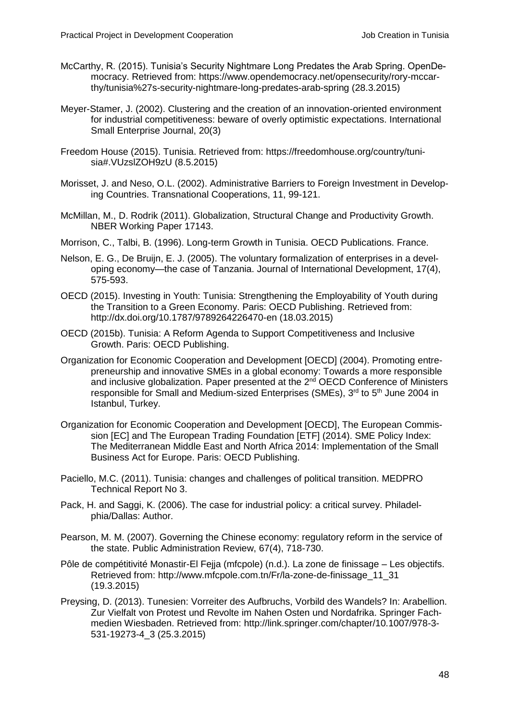- McCarthy, R. (2015). Tunisia's Security Nightmare Long Predates the Arab Spring. OpenDemocracy. Retrieved from: [https://www.opendemocracy.net/opensecurity/rory-mccar](https://www.opendemocracy.net/opensecurity/rory-mccarthy/tunisia%27s-security-nightmare-long-predates-arab-spring)[thy/tunisia%27s-security-nightmare-long-predates-arab-spring](https://www.opendemocracy.net/opensecurity/rory-mccarthy/tunisia%27s-security-nightmare-long-predates-arab-spring) (28.3.2015)
- Meyer-Stamer, J. (2002). Clustering and the creation of an innovation-oriented environment for industrial competitiveness: beware of overly optimistic expectations. International Small Enterprise Journal, 20(3)
- Freedom House (2015). Tunisia. Retrieved from: [https://freedomhouse.org/country/tuni](https://freedomhouse.org/country/tunisia#.VUzslZOH9zU)[sia#.VUzslZOH9zU](https://freedomhouse.org/country/tunisia#.VUzslZOH9zU) (8.5.2015)
- Morisset, J. and Neso, O.L. (2002). Administrative Barriers to Foreign Investment in Developing Countries. Transnational Cooperations, 11, 99-121.
- McMillan, M., D. Rodrik (2011). Globalization, Structural Change and Productivity Growth. NBER Working Paper 17143.
- Morrison, C., Talbi, B. (1996). Long-term Growth in Tunisia. OECD Publications. France.
- Nelson, E. G., De Bruijn, E. J. (2005). The voluntary formalization of enterprises in a developing economy—the case of Tanzania. Journal of International Development, 17(4), 575-593.
- OECD (2015). Investing in Youth: Tunisia: Strengthening the Employability of Youth during the Transition to a Green Economy. Paris: OECD Publishing. Retrieved from: <http://dx.doi.org/10.1787/9789264226470-en> (18.03.2015)
- OECD (2015b). Tunisia: A Reform Agenda to Support Competitiveness and Inclusive Growth. Paris: OECD Publishing.
- Organization for Economic Cooperation and Development [OECD] (2004). Promoting entrepreneurship and innovative SMEs in a global economy: Towards a more responsible and inclusive globalization. Paper presented at the 2<sup>nd</sup> OECD Conference of Ministers responsible for Small and Medium-sized Enterprises (SMEs), 3<sup>rd</sup> to 5<sup>th</sup> June 2004 in Istanbul, Turkey.
- Organization for Economic Cooperation and Development [OECD], The European Commission [EC] and The European Trading Foundation [ETF] (2014). SME Policy Index: The Mediterranean Middle East and North Africa 2014: Implementation of the Small Business Act for Europe. Paris: OECD Publishing.
- Paciello, M.C. (2011). Tunisia: changes and challenges of political transition. MEDPRO Technical Report No 3.
- Pack, H. and Saggi, K. (2006). The case for industrial policy: a critical survey. Philadelphia/Dallas: Author.
- Pearson, M. M. (2007). Governing the Chinese economy: regulatory reform in the service of the state. Public Administration Review, 67(4), 718-730.
- Pôle de compétitivité Monastir-El Fejja (mfcpole) (n.d.). La zone de finissage Les objectifs. Retrieved from: http://www.mfcpole.com.tn/Fr/la-zone-de-finissage\_11\_31 (19.3.2015)
- Preysing, D. (2013). Tunesien: Vorreiter des Aufbruchs, Vorbild des Wandels? In: Arabellion. Zur Vielfalt von Protest und Revolte im Nahen Osten und Nordafrika. Springer Fachmedien Wiesbaden. Retrieved from: http://link.springer.com/chapter/10.1007/978-3- 531-19273-4\_3 (25.3.2015)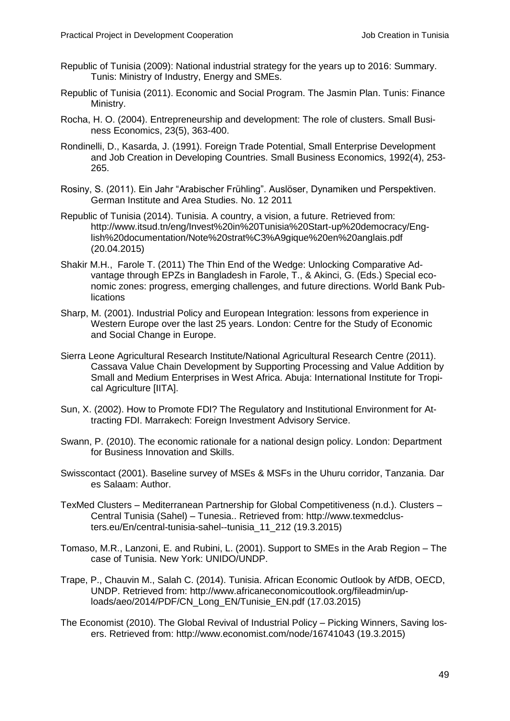- Republic of Tunisia (2009): National industrial strategy for the years up to 2016: Summary. Tunis: Ministry of Industry, Energy and SMEs.
- Republic of Tunisia (2011). Economic and Social Program. The Jasmin Plan. Tunis: Finance Ministry.
- Rocha, H. O. (2004). Entrepreneurship and development: The role of clusters. Small Business Economics, 23(5), 363-400.
- Rondinelli, D., Kasarda, J. (1991). Foreign Trade Potential, Small Enterprise Development and Job Creation in Developing Countries. Small Business Economics, 1992(4), 253- 265.
- Rosiny, S. (2011). Ein Jahr "Arabischer Frühling". Auslöser, Dynamiken und Perspektiven. German Institute and Area Studies. No. 12 2011
- Republic of Tunisia (2014). Tunisia. A country, a vision, a future. Retrieved from: [http://www.itsud.tn/eng/Invest%20in%20Tunisia%20Start-up%20democracy/Eng](http://www.itsud.tn/eng/Invest%20in%20Tunisia%20Start-up%20democracy/English%20documentation/Note%20strat%C3%A9gique%20en%20anglais.pdf)[lish%20documentation/Note%20strat%C3%A9gique%20en%20anglais.pdf](http://www.itsud.tn/eng/Invest%20in%20Tunisia%20Start-up%20democracy/English%20documentation/Note%20strat%C3%A9gique%20en%20anglais.pdf) (20.04.2015)
- Shakir M.H., Farole T. (2011) The Thin End of the Wedge: Unlocking Comparative Advantage through EPZs in Bangladesh in Farole, T., & Akinci, G. (Eds.) Special economic zones: progress, emerging challenges, and future directions. World Bank Publications
- Sharp, M. (2001). Industrial Policy and European Integration: lessons from experience in Western Europe over the last 25 years. London: Centre for the Study of Economic and Social Change in Europe.
- Sierra Leone Agricultural Research Institute/National Agricultural Research Centre (2011). Cassava Value Chain Development by Supporting Processing and Value Addition by Small and Medium Enterprises in West Africa. Abuja: International Institute for Tropical Agriculture [IITA].
- Sun, X. (2002). How to Promote FDI? The Regulatory and Institutional Environment for Attracting FDI. Marrakech: Foreign Investment Advisory Service.
- Swann, P. (2010). The economic rationale for a national design policy. London: Department for Business Innovation and Skills.
- Swisscontact (2001). Baseline survey of MSEs & MSFs in the Uhuru corridor, Tanzania. Dar es Salaam: Author.
- TexMed Clusters Mediterranean Partnership for Global Competitiveness (n.d.). Clusters Central Tunisia (Sahel) – Tunesia.. Retrieved from: [http://www.texmedclus](http://www.texmedclusters.eu/En/central-tunisia-sahel--tunisia_11_212)[ters.eu/En/central-tunisia-sahel--tunisia\\_11\\_212](http://www.texmedclusters.eu/En/central-tunisia-sahel--tunisia_11_212) (19.3.2015)
- Tomaso, M.R., Lanzoni, E. and Rubini, L. (2001). Support to SMEs in the Arab Region The case of Tunisia. New York: UNIDO/UNDP.
- Trape, P., Chauvin M., Salah C. (2014). Tunisia. African Economic Outlook by AfDB, OECD, UNDP. Retrieved from: [http://www.africaneconomicoutlook.org/fileadmin/up](http://www.africaneconomicoutlook.org/fileadmin/uploads/aeo/2014/PDF/CN_Long_EN/Tunisie_EN.pdf)[loads/aeo/2014/PDF/CN\\_Long\\_EN/Tunisie\\_EN.pdf](http://www.africaneconomicoutlook.org/fileadmin/uploads/aeo/2014/PDF/CN_Long_EN/Tunisie_EN.pdf) (17.03.2015)
- The Economist (2010). The Global Revival of Industrial Policy Picking Winners, Saving losers. Retrieved from: <http://www.economist.com/node/16741043> (19.3.2015)